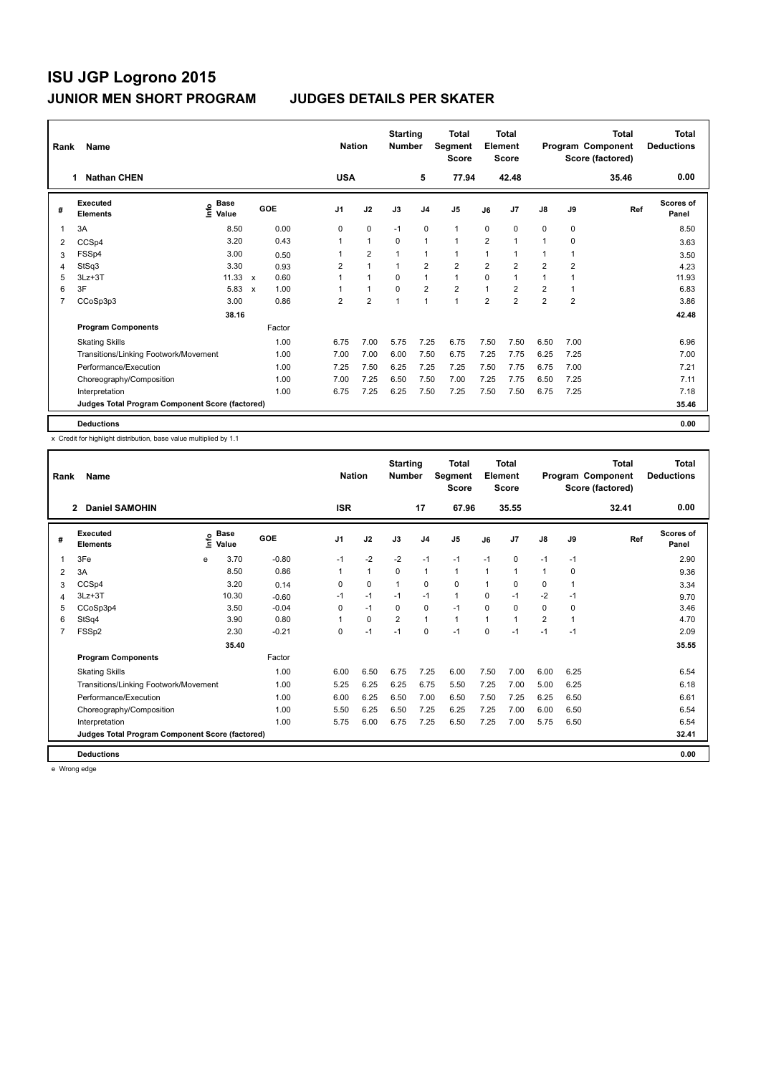| Rank           | Name                                            |                                    |              |        |                | <b>Nation</b>        | <b>Starting</b><br><b>Number</b> |                | Total<br>Segment<br><b>Score</b> |                | Total<br>Element<br>Score |                         |                | <b>Total</b><br>Program Component<br>Score (factored) | <b>Total</b><br><b>Deductions</b> |
|----------------|-------------------------------------------------|------------------------------------|--------------|--------|----------------|----------------------|----------------------------------|----------------|----------------------------------|----------------|---------------------------|-------------------------|----------------|-------------------------------------------------------|-----------------------------------|
|                | <b>Nathan CHEN</b><br>1                         |                                    |              |        | <b>USA</b>     |                      |                                  | 5              | 77.94                            |                | 42.48                     |                         |                | 35.46                                                 | 0.00                              |
| #              | Executed<br><b>Elements</b>                     | <b>Base</b><br>$\frac{6}{5}$ Value |              | GOE    | J <sub>1</sub> | J2                   | J3                               | J4             | J <sub>5</sub>                   | J6             | J7                        | $\mathsf{J}8$           | J9             | Ref                                                   | <b>Scores of</b><br>Panel         |
| 1              | 3A                                              | 8.50                               |              | 0.00   | 0              | $\mathbf 0$          | $-1$                             | $\mathbf 0$    | $\mathbf{1}$                     | $\mathbf 0$    | $\mathbf 0$               | 0                       | $\mathbf 0$    |                                                       | 8.50                              |
| 2              | CCSp4                                           | 3.20                               |              | 0.43   |                | $\mathbf{1}$         | $\mathbf 0$                      | $\mathbf{1}$   | $\mathbf{1}$                     | $\overline{2}$ | 1                         | 1                       | 0              |                                                       | 3.63                              |
| 3              | FSSp4                                           | 3.00                               |              | 0.50   |                | $\overline{2}$       | 1                                | $\mathbf 1$    | $\mathbf{1}$                     | 1              |                           | 1                       | 1              |                                                       | 3.50                              |
| 4              | StSq3                                           | 3.30                               |              | 0.93   | 2              | $\overline{1}$       |                                  | $\overline{2}$ | $\overline{2}$                   | $\overline{2}$ | $\overline{2}$            | $\overline{2}$          | $\overline{2}$ |                                                       | 4.23                              |
| 5              | $3Lz + 3T$                                      | 11.33                              | $\mathsf{x}$ | 0.60   | 1              | $\blacktriangleleft$ | $\Omega$                         | $\mathbf{1}$   | $\mathbf{1}$                     | $\Omega$       | 1                         | 1                       |                |                                                       | 11.93                             |
| 6              | 3F                                              | 5.83                               | $\mathbf x$  | 1.00   |                | $\overline{1}$       | $\Omega$                         | $\overline{2}$ | $\overline{\mathbf{c}}$          | $\mathbf{1}$   | $\overline{2}$            | $\overline{\mathbf{c}}$ |                |                                                       | 6.83                              |
| $\overline{7}$ | CCoSp3p3                                        | 3.00                               |              | 0.86   | $\overline{2}$ | $\overline{2}$       | 1                                | $\mathbf{1}$   | $\mathbf{1}$                     | $\overline{2}$ | $\overline{2}$            | $\overline{2}$          | $\overline{2}$ |                                                       | 3.86                              |
|                |                                                 | 38.16                              |              |        |                |                      |                                  |                |                                  |                |                           |                         |                |                                                       | 42.48                             |
|                | <b>Program Components</b>                       |                                    |              | Factor |                |                      |                                  |                |                                  |                |                           |                         |                |                                                       |                                   |
|                | <b>Skating Skills</b>                           |                                    |              | 1.00   | 6.75           | 7.00                 | 5.75                             | 7.25           | 6.75                             | 7.50           | 7.50                      | 6.50                    | 7.00           |                                                       | 6.96                              |
|                | Transitions/Linking Footwork/Movement           |                                    |              | 1.00   | 7.00           | 7.00                 | 6.00                             | 7.50           | 6.75                             | 7.25           | 7.75                      | 6.25                    | 7.25           |                                                       | 7.00                              |
|                | Performance/Execution                           |                                    |              | 1.00   | 7.25           | 7.50                 | 6.25                             | 7.25           | 7.25                             | 7.50           | 7.75                      | 6.75                    | 7.00           |                                                       | 7.21                              |
|                | Choreography/Composition                        |                                    |              | 1.00   | 7.00           | 7.25                 | 6.50                             | 7.50           | 7.00                             | 7.25           | 7.75                      | 6.50                    | 7.25           |                                                       | 7.11                              |
|                | Interpretation                                  |                                    |              | 1.00   | 6.75           | 7.25                 | 6.25                             | 7.50           | 7.25                             | 7.50           | 7.50                      | 6.75                    | 7.25           |                                                       | 7.18                              |
|                | Judges Total Program Component Score (factored) |                                    |              |        |                |                      |                                  |                |                                  |                |                           |                         |                |                                                       | 35.46                             |
|                | <b>Deductions</b>                               |                                    |              |        |                |                      |                                  |                |                                  |                |                           |                         |                |                                                       | 0.00                              |

x Credit for highlight distribution, base value multiplied by 1.1

| Rank | Name                                            |      |                      |         | <b>Nation</b> |              | <b>Starting</b><br><b>Number</b> |                | <b>Total</b><br>Segment<br><b>Score</b> |              | <b>Total</b><br>Element<br><b>Score</b> |                |              | <b>Total</b><br>Program Component<br>Score (factored) | <b>Total</b><br><b>Deductions</b> |
|------|-------------------------------------------------|------|----------------------|---------|---------------|--------------|----------------------------------|----------------|-----------------------------------------|--------------|-----------------------------------------|----------------|--------------|-------------------------------------------------------|-----------------------------------|
|      | <b>Daniel SAMOHIN</b><br>$\overline{2}$         |      |                      |         | <b>ISR</b>    |              |                                  | 17             | 67.96                                   |              | 35.55                                   |                |              | 32.41                                                 | 0.00                              |
| #    | Executed<br><b>Elements</b>                     | ١rfo | <b>Base</b><br>Value | GOE     | J1            | J2           | J3                               | J <sub>4</sub> | J5                                      | J6           | J <sub>7</sub>                          | J8             | J9           | Ref                                                   | Scores of<br>Panel                |
| 1    | 3Fe                                             | e    | 3.70                 | $-0.80$ | $-1$          | $-2$         | $-2$                             | $-1$           | $-1$                                    | $-1$         | $\mathbf 0$                             | $-1$           | $-1$         |                                                       | 2.90                              |
| 2    | 3A                                              |      | 8.50                 | 0.86    |               | $\mathbf{1}$ | $\Omega$                         | $\mathbf{1}$   | $\mathbf{1}$                            | $\mathbf{1}$ | $\overline{1}$                          | $\mathbf{1}$   | $\Omega$     |                                                       | 9.36                              |
| 3    | CCSp4                                           |      | 3.20                 | 0.14    | $\Omega$      | $\Omega$     | $\overline{1}$                   | $\Omega$       | 0                                       | $\mathbf{1}$ | $\Omega$                                | 0              | $\mathbf{1}$ |                                                       | 3.34                              |
| 4    | $3Lz + 3T$                                      |      | 10.30                | $-0.60$ | $-1$          | $-1$         | $-1$                             | $-1$           | $\mathbf{1}$                            | 0            | $-1$                                    | $-2$           | -1           |                                                       | 9.70                              |
| 5    | CCoSp3p4                                        |      | 3.50                 | $-0.04$ | 0             | $-1$         | 0                                | 0              | $-1$                                    | $\Omega$     | $\Omega$                                | 0              | 0            |                                                       | 3.46                              |
| 6    | StSq4                                           |      | 3.90                 | 0.80    |               | $\mathbf 0$  | $\overline{2}$                   | $\mathbf{1}$   | $\mathbf{1}$                            | 1            | 1                                       | $\overline{2}$ | 1            |                                                       | 4.70                              |
|      | FSSp2                                           |      | 2.30                 | $-0.21$ | $\Omega$      | $-1$         | $-1$                             | 0              | $-1$                                    | $\Omega$     | $-1$                                    | $-1$           | $-1$         |                                                       | 2.09                              |
|      |                                                 |      | 35.40                |         |               |              |                                  |                |                                         |              |                                         |                |              |                                                       | 35.55                             |
|      | <b>Program Components</b>                       |      |                      | Factor  |               |              |                                  |                |                                         |              |                                         |                |              |                                                       |                                   |
|      | <b>Skating Skills</b>                           |      |                      | 1.00    | 6.00          | 6.50         | 6.75                             | 7.25           | 6.00                                    | 7.50         | 7.00                                    | 6.00           | 6.25         |                                                       | 6.54                              |
|      | Transitions/Linking Footwork/Movement           |      |                      | 1.00    | 5.25          | 6.25         | 6.25                             | 6.75           | 5.50                                    | 7.25         | 7.00                                    | 5.00           | 6.25         |                                                       | 6.18                              |
|      | Performance/Execution                           |      |                      | 1.00    | 6.00          | 6.25         | 6.50                             | 7.00           | 6.50                                    | 7.50         | 7.25                                    | 6.25           | 6.50         |                                                       | 6.61                              |
|      | Choreography/Composition                        |      |                      | 1.00    | 5.50          | 6.25         | 6.50                             | 7.25           | 6.25                                    | 7.25         | 7.00                                    | 6.00           | 6.50         |                                                       | 6.54                              |
|      | Interpretation                                  |      |                      | 1.00    | 5.75          | 6.00         | 6.75                             | 7.25           | 6.50                                    | 7.25         | 7.00                                    | 5.75           | 6.50         |                                                       | 6.54                              |
|      | Judges Total Program Component Score (factored) |      |                      |         |               |              |                                  |                |                                         |              |                                         |                |              |                                                       | 32.41                             |
|      | <b>Deductions</b>                               |      |                      |         |               |              |                                  |                |                                         |              |                                         |                |              |                                                       | 0.00                              |

e Wrong edge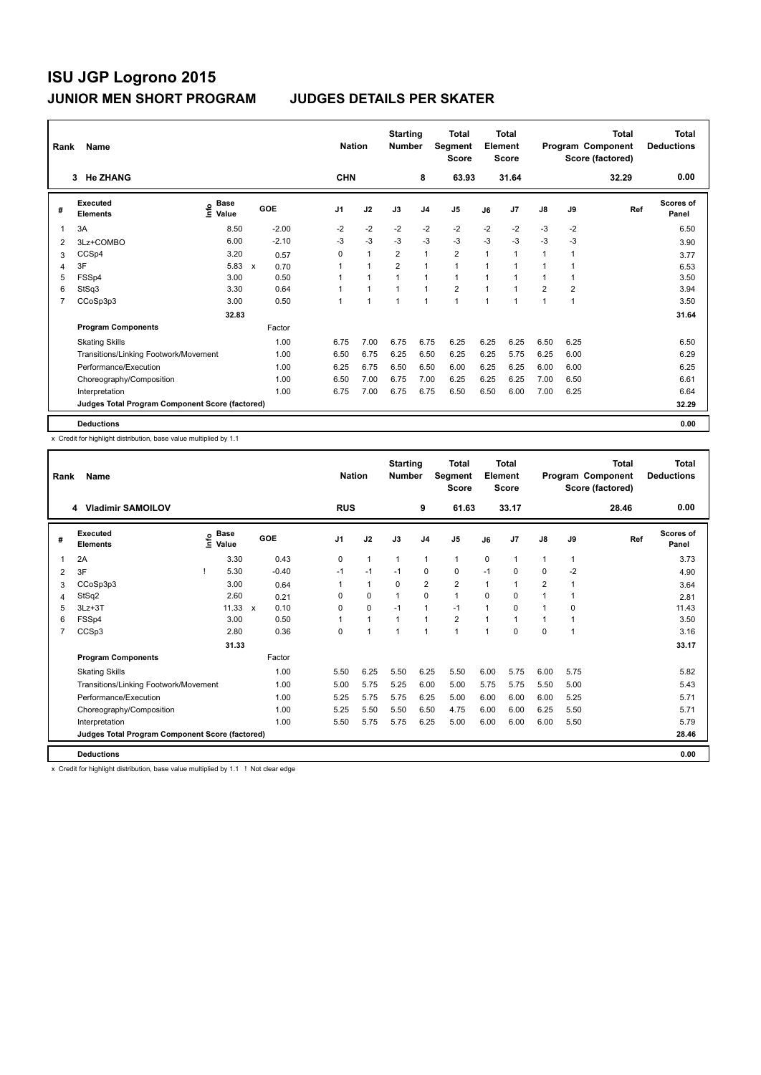| Rank           | Name                                            |                                    |                      | <b>Nation</b>  |                      | <b>Starting</b><br><b>Number</b> |                | <b>Total</b><br>Segment<br><b>Score</b> |      | <b>Total</b><br>Element<br><b>Score</b> |                |                | <b>Total</b><br>Program Component<br>Score (factored) | <b>Total</b><br><b>Deductions</b> |
|----------------|-------------------------------------------------|------------------------------------|----------------------|----------------|----------------------|----------------------------------|----------------|-----------------------------------------|------|-----------------------------------------|----------------|----------------|-------------------------------------------------------|-----------------------------------|
|                | 3 He ZHANG                                      |                                    |                      | <b>CHN</b>     |                      |                                  | 8              | 63.93                                   |      | 31.64                                   |                |                | 32.29                                                 | 0.00                              |
| #              | Executed<br><b>Elements</b>                     | <b>Base</b><br>$\frac{6}{5}$ Value | GOE                  | J <sub>1</sub> | J2                   | J3                               | J <sub>4</sub> | J <sub>5</sub>                          | J6   | J7                                      | J8             | J9             | Ref                                                   | <b>Scores of</b><br>Panel         |
| 1              | 3A                                              | 8.50                               | $-2.00$              | $-2$           | $-2$                 | $-2$                             | $-2$           | $-2$                                    | $-2$ | $-2$                                    | $-3$           | $-2$           |                                                       | 6.50                              |
| $\overline{2}$ | 3Lz+COMBO                                       | 6.00                               | $-2.10$              | $-3$           | $-3$                 | $-3$                             | $-3$           | $-3$                                    | $-3$ | $-3$                                    | $-3$           | $-3$           |                                                       | 3.90                              |
| 3              | CCSp4                                           | 3.20                               | 0.57                 | 0              | $\overline{1}$       | $\overline{2}$                   | $\mathbf{1}$   | $\overline{2}$                          | 1    | 1                                       | 1              | 1              |                                                       | 3.77                              |
| 4              | 3F                                              | 5.83                               | 0.70<br>$\mathsf{x}$ |                | 1                    | $\overline{2}$                   | $\mathbf{1}$   | $\mathbf{1}$                            | 1    | 1                                       | 1              | 1              |                                                       | 6.53                              |
| 5              | FSSp4                                           | 3.00                               | 0.50                 |                | $\blacktriangleleft$ | $\overline{1}$                   | $\mathbf{1}$   | $\mathbf{1}$                            | 1    | 1                                       | 1              | 1              |                                                       | 3.50                              |
| 6              | StSq3                                           | 3.30                               | 0.64                 |                | 1                    | $\overline{1}$                   | $\mathbf{1}$   | $\overline{2}$                          | 1    | 1                                       | $\overline{2}$ | $\overline{2}$ |                                                       | 3.94                              |
| 7              | CCoSp3p3                                        | 3.00                               | 0.50                 |                | $\overline{1}$       | $\mathbf{1}$                     | $\mathbf{1}$   | $\mathbf{1}$                            | 1    | 1                                       | $\mathbf{1}$   | 1              |                                                       | 3.50                              |
|                |                                                 | 32.83                              |                      |                |                      |                                  |                |                                         |      |                                         |                |                |                                                       | 31.64                             |
|                | <b>Program Components</b>                       |                                    | Factor               |                |                      |                                  |                |                                         |      |                                         |                |                |                                                       |                                   |
|                | <b>Skating Skills</b>                           |                                    | 1.00                 | 6.75           | 7.00                 | 6.75                             | 6.75           | 6.25                                    | 6.25 | 6.25                                    | 6.50           | 6.25           |                                                       | 6.50                              |
|                | Transitions/Linking Footwork/Movement           |                                    | 1.00                 | 6.50           | 6.75                 | 6.25                             | 6.50           | 6.25                                    | 6.25 | 5.75                                    | 6.25           | 6.00           |                                                       | 6.29                              |
|                | Performance/Execution                           |                                    | 1.00                 | 6.25           | 6.75                 | 6.50                             | 6.50           | 6.00                                    | 6.25 | 6.25                                    | 6.00           | 6.00           |                                                       | 6.25                              |
|                | Choreography/Composition                        |                                    | 1.00                 | 6.50           | 7.00                 | 6.75                             | 7.00           | 6.25                                    | 6.25 | 6.25                                    | 7.00           | 6.50           |                                                       | 6.61                              |
|                | Interpretation                                  |                                    | 1.00                 | 6.75           | 7.00                 | 6.75                             | 6.75           | 6.50                                    | 6.50 | 6.00                                    | 7.00           | 6.25           |                                                       | 6.64                              |
|                | Judges Total Program Component Score (factored) |                                    |                      |                |                      |                                  |                |                                         |      |                                         |                |                |                                                       | 32.29                             |
|                | <b>Deductions</b>                               |                                    |                      |                |                      |                                  |                |                                         |      |                                         |                |                |                                                       | 0.00                              |

x Credit for highlight distribution, base value multiplied by 1.1

| Rank           | Name                                            |      |                      |         |                | <b>Nation</b> | <b>Starting</b><br><b>Number</b> |                | <b>Total</b><br>Segment<br><b>Score</b> |              | Total<br>Element<br><b>Score</b> |                |              | <b>Total</b><br>Program Component<br>Score (factored) | <b>Total</b><br><b>Deductions</b> |
|----------------|-------------------------------------------------|------|----------------------|---------|----------------|---------------|----------------------------------|----------------|-----------------------------------------|--------------|----------------------------------|----------------|--------------|-------------------------------------------------------|-----------------------------------|
|                | <b>Vladimir SAMOILOV</b><br>4                   |      |                      |         | <b>RUS</b>     |               |                                  | 9              | 61.63                                   |              | 33.17                            |                |              | 28.46                                                 | 0.00                              |
| #              | Executed<br><b>Elements</b>                     | lnfo | <b>Base</b><br>Value | GOE     | J <sub>1</sub> | J2            | J3                               | J <sub>4</sub> | J <sub>5</sub>                          | J6           | J <sub>7</sub>                   | J8             | J9           | Ref                                                   | Scores of<br>Panel                |
| 1              | 2A                                              |      | 3.30                 | 0.43    | 0              | $\mathbf{1}$  | $\mathbf{1}$                     | 1              | $\mathbf{1}$                            | 0            | $\mathbf{1}$                     | $\overline{1}$ | $\mathbf{1}$ |                                                       | 3.73                              |
| $\overline{2}$ | 3F                                              | т    | 5.30                 | $-0.40$ | $-1$           | $-1$          | $-1$                             | 0              | 0                                       | $-1$         | $\Omega$                         | $\Omega$       | $-2$         |                                                       | 4.90                              |
| 3              | CCoSp3p3                                        |      | 3.00                 | 0.64    | 1              | $\mathbf{1}$  | $\mathbf 0$                      | 2              | $\overline{\mathbf{c}}$                 | $\mathbf{1}$ | $\overline{1}$                   | $\overline{2}$ | 1            |                                                       | 3.64                              |
| 4              | StSq2                                           |      | 2.60                 | 0.21    | $\Omega$       | 0             | $\mathbf{1}$                     | 0              | $\mathbf{1}$                            | $\Omega$     | 0                                | 1              |              |                                                       | 2.81                              |
| 5              | $3Lz + 3T$                                      |      | $11.33 \times$       | 0.10    | 0              | 0             | $-1$                             | $\mathbf{1}$   | $-1$                                    |              | $\mathbf 0$                      |                | 0            |                                                       | 11.43                             |
| 6              | FSSp4                                           |      | 3.00                 | 0.50    | 1              | 1             | $\mathbf{1}$                     | 1              | $\overline{2}$                          |              | $\overline{1}$                   |                |              |                                                       | 3.50                              |
| 7              | CCSp3                                           |      | 2.80                 | 0.36    | $\Omega$       | 1             | $\overline{1}$                   | 1              | 1                                       |              | $\Omega$                         | 0              | 1            |                                                       | 3.16                              |
|                |                                                 |      | 31.33                |         |                |               |                                  |                |                                         |              |                                  |                |              |                                                       | 33.17                             |
|                | <b>Program Components</b>                       |      |                      | Factor  |                |               |                                  |                |                                         |              |                                  |                |              |                                                       |                                   |
|                | <b>Skating Skills</b>                           |      |                      | 1.00    | 5.50           | 6.25          | 5.50                             | 6.25           | 5.50                                    | 6.00         | 5.75                             | 6.00           | 5.75         |                                                       | 5.82                              |
|                | Transitions/Linking Footwork/Movement           |      |                      | 1.00    | 5.00           | 5.75          | 5.25                             | 6.00           | 5.00                                    | 5.75         | 5.75                             | 5.50           | 5.00         |                                                       | 5.43                              |
|                | Performance/Execution                           |      |                      | 1.00    | 5.25           | 5.75          | 5.75                             | 6.25           | 5.00                                    | 6.00         | 6.00                             | 6.00           | 5.25         |                                                       | 5.71                              |
|                | Choreography/Composition                        |      |                      | 1.00    | 5.25           | 5.50          | 5.50                             | 6.50           | 4.75                                    | 6.00         | 6.00                             | 6.25           | 5.50         |                                                       | 5.71                              |
|                | Interpretation                                  |      |                      | 1.00    | 5.50           | 5.75          | 5.75                             | 6.25           | 5.00                                    | 6.00         | 6.00                             | 6.00           | 5.50         |                                                       | 5.79                              |
|                | Judges Total Program Component Score (factored) |      |                      |         |                |               |                                  |                |                                         |              |                                  |                |              |                                                       | 28.46                             |
|                | <b>Deductions</b>                               |      |                      |         |                |               |                                  |                |                                         |              |                                  |                |              |                                                       | 0.00                              |

x Credit for highlight distribution, base value multiplied by 1.1 ! Not clear edge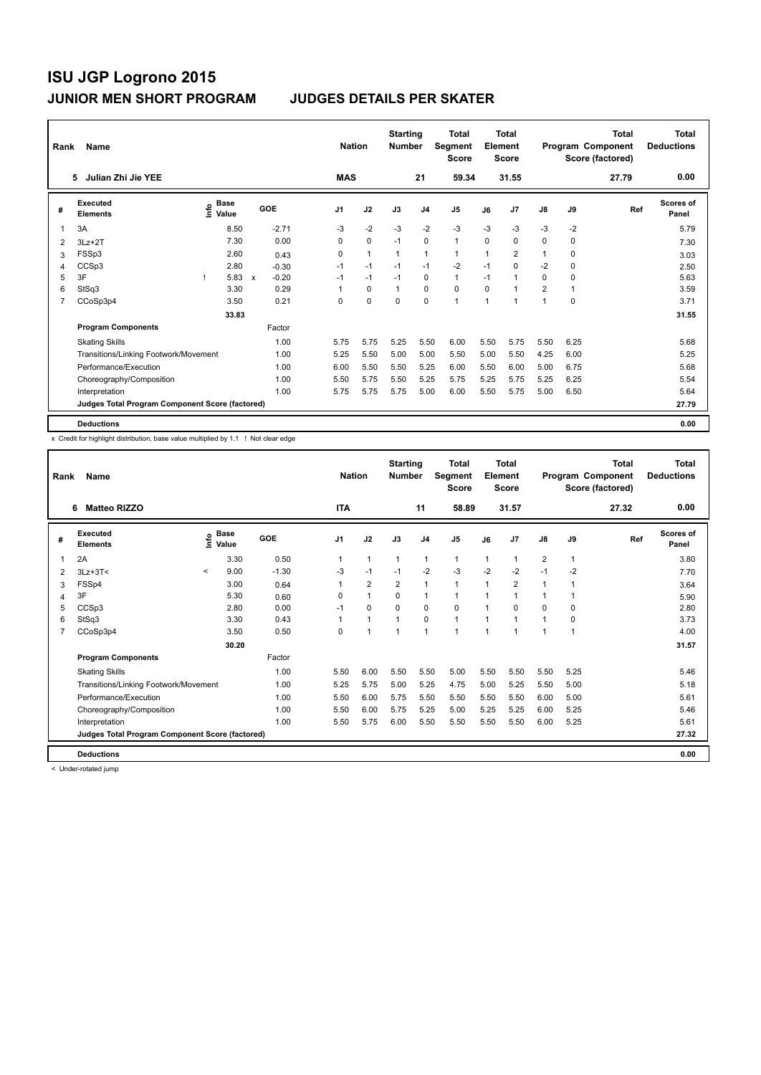| Rank           | Name                                            |                                    |              |         |                | <b>Nation</b>  | <b>Starting</b><br><b>Number</b> |                | <b>Total</b><br>Segment<br><b>Score</b> |      | Total<br>Element<br><b>Score</b> |                |          | <b>Total</b><br>Program Component<br>Score (factored) | <b>Total</b><br><b>Deductions</b> |
|----------------|-------------------------------------------------|------------------------------------|--------------|---------|----------------|----------------|----------------------------------|----------------|-----------------------------------------|------|----------------------------------|----------------|----------|-------------------------------------------------------|-----------------------------------|
|                | Julian Zhi Jie YEE<br>5                         |                                    |              |         | <b>MAS</b>     |                |                                  | 21             | 59.34                                   |      | 31.55                            |                |          | 27.79                                                 | 0.00                              |
| #              | Executed<br><b>Elements</b>                     | <b>Base</b><br>$\frac{6}{5}$ Value |              | GOE     | J <sub>1</sub> | J2             | J3                               | J <sub>4</sub> | J <sub>5</sub>                          | J6   | J7                               | J8             | J9       | Ref                                                   | <b>Scores of</b><br>Panel         |
| 1              | 3A                                              | 8.50                               |              | $-2.71$ | $-3$           | $-2$           | $-3$                             | $-2$           | $-3$                                    | $-3$ | $-3$                             | $-3$           | $-2$     |                                                       | 5.79                              |
| $\overline{2}$ | $3Lz + 2T$                                      | 7.30                               |              | 0.00    | 0              | $\mathbf 0$    | $-1$                             | $\mathbf 0$    | $\mathbf{1}$                            | 0    | $\mathbf 0$                      | 0              | 0        |                                                       | 7.30                              |
| 3              | FSSp3                                           | 2.60                               |              | 0.43    | 0              | $\overline{1}$ | $\mathbf{1}$                     | $\mathbf{1}$   | $\mathbf{1}$                            | 1    | 2                                | 1              | 0        |                                                       | 3.03                              |
| 4              | CCSp3                                           | 2.80                               |              | $-0.30$ | $-1$           | $-1$           | $-1$                             | $-1$           | $-2$                                    | $-1$ | 0                                | $-2$           | 0        |                                                       | 2.50                              |
| 5              | 3F                                              | 5.83                               | $\mathbf{x}$ | $-0.20$ | $-1$           | $-1$           | $-1$                             | 0              | $\mathbf{1}$                            | $-1$ | 1                                | 0              | 0        |                                                       | 5.63                              |
| 6              | StSq3                                           | 3.30                               |              | 0.29    |                | $\mathbf 0$    | $\mathbf{1}$                     | $\mathbf 0$    | $\mathbf 0$                             | 0    | 1                                | $\overline{2}$ | 1        |                                                       | 3.59                              |
| 7              | CCoSp3p4                                        | 3.50                               |              | 0.21    | 0              | $\Omega$       | $\Omega$                         | $\Omega$       | 1                                       | 1    | 1                                | 1              | $\Omega$ |                                                       | 3.71                              |
|                |                                                 | 33.83                              |              |         |                |                |                                  |                |                                         |      |                                  |                |          |                                                       | 31.55                             |
|                | <b>Program Components</b>                       |                                    |              | Factor  |                |                |                                  |                |                                         |      |                                  |                |          |                                                       |                                   |
|                | <b>Skating Skills</b>                           |                                    |              | 1.00    | 5.75           | 5.75           | 5.25                             | 5.50           | 6.00                                    | 5.50 | 5.75                             | 5.50           | 6.25     |                                                       | 5.68                              |
|                | Transitions/Linking Footwork/Movement           |                                    |              | 1.00    | 5.25           | 5.50           | 5.00                             | 5.00           | 5.50                                    | 5.00 | 5.50                             | 4.25           | 6.00     |                                                       | 5.25                              |
|                | Performance/Execution                           |                                    |              | 1.00    | 6.00           | 5.50           | 5.50                             | 5.25           | 6.00                                    | 5.50 | 6.00                             | 5.00           | 6.75     |                                                       | 5.68                              |
|                | Choreography/Composition                        |                                    |              | 1.00    | 5.50           | 5.75           | 5.50                             | 5.25           | 5.75                                    | 5.25 | 5.75                             | 5.25           | 6.25     |                                                       | 5.54                              |
|                | Interpretation                                  |                                    |              | 1.00    | 5.75           | 5.75           | 5.75                             | 5.00           | 6.00                                    | 5.50 | 5.75                             | 5.00           | 6.50     |                                                       | 5.64                              |
|                | Judges Total Program Component Score (factored) |                                    |              |         |                |                |                                  |                |                                         |      |                                  |                |          |                                                       | 27.79                             |
|                | <b>Deductions</b>                               |                                    |              |         |                |                |                                  |                |                                         |      |                                  |                |          |                                                       | 0.00                              |

x Credit for highlight distribution, base value multiplied by 1.1 ! Not clear edge

| Rank | Name                                            |              |                      |         | <b>Nation</b> |                      | <b>Starting</b><br><b>Number</b> |                | <b>Total</b><br>Segment<br><b>Score</b> |              | <b>Total</b><br>Element<br><b>Score</b> |                         |              | Total<br>Program Component<br>Score (factored) | <b>Total</b><br><b>Deductions</b> |
|------|-------------------------------------------------|--------------|----------------------|---------|---------------|----------------------|----------------------------------|----------------|-----------------------------------------|--------------|-----------------------------------------|-------------------------|--------------|------------------------------------------------|-----------------------------------|
|      | <b>Matteo RIZZO</b><br>6                        |              |                      |         | <b>ITA</b>    |                      |                                  | 11             | 58.89                                   |              | 31.57                                   |                         |              | 27.32                                          | 0.00                              |
| #    | Executed<br><b>Elements</b>                     | ١nfo         | <b>Base</b><br>Value | GOE     | J1            | J2                   | J3                               | J <sub>4</sub> | J <sub>5</sub>                          | J6           | J <sub>7</sub>                          | J8                      | J9           | Ref                                            | <b>Scores of</b><br>Panel         |
| 1    | 2A                                              |              | 3.30                 | 0.50    |               | $\mathbf{1}$         | 1                                | $\mathbf{1}$   | $\mathbf{1}$                            | $\mathbf{1}$ | $\overline{1}$                          | $\overline{\mathbf{c}}$ | $\mathbf{1}$ |                                                | 3.80                              |
| 2    | $3Lz + 3T <$                                    | $\checkmark$ | 9.00                 | $-1.30$ | $-3$          | $-1$                 | $-1$                             | $-2$           | $-3$                                    | $-2$         | $-2$                                    | $-1$                    | $-2$         |                                                | 7.70                              |
| 3    | FSSp4                                           |              | 3.00                 | 0.64    |               | $\overline{2}$       | $\overline{2}$                   | $\mathbf{1}$   | $\mathbf{1}$                            | $\mathbf{1}$ | $\overline{2}$                          | 1                       | 1            |                                                | 3.64                              |
| 4    | 3F                                              |              | 5.30                 | 0.60    | 0             | $\mathbf{1}$         | 0                                | 1              | 1                                       | 1            | 1                                       | 1                       | 1            |                                                | 5.90                              |
| 5    | CCSp3                                           |              | 2.80                 | 0.00    | $-1$          | 0                    | $\Omega$                         | 0              | 0                                       | $\mathbf 1$  | $\Omega$                                | 0                       | 0            |                                                | 2.80                              |
| 6    | StSq3                                           |              | 3.30                 | 0.43    |               | $\blacktriangleleft$ | 1                                | $\Omega$       | $\blacktriangleleft$                    | $\mathbf 1$  | 1                                       | 1                       | 0            |                                                | 3.73                              |
| 7    | CCoSp3p4                                        |              | 3.50                 | 0.50    | $\Omega$      | $\overline{ }$       | 1                                | $\overline{1}$ | 1                                       | $\mathbf 1$  | 1                                       | 1                       | 1            |                                                | 4.00                              |
|      |                                                 |              | 30.20                |         |               |                      |                                  |                |                                         |              |                                         |                         |              |                                                | 31.57                             |
|      | <b>Program Components</b>                       |              |                      | Factor  |               |                      |                                  |                |                                         |              |                                         |                         |              |                                                |                                   |
|      | <b>Skating Skills</b>                           |              |                      | 1.00    | 5.50          | 6.00                 | 5.50                             | 5.50           | 5.00                                    | 5.50         | 5.50                                    | 5.50                    | 5.25         |                                                | 5.46                              |
|      | Transitions/Linking Footwork/Movement           |              |                      | 1.00    | 5.25          | 5.75                 | 5.00                             | 5.25           | 4.75                                    | 5.00         | 5.25                                    | 5.50                    | 5.00         |                                                | 5.18                              |
|      | Performance/Execution                           |              |                      | 1.00    | 5.50          | 6.00                 | 5.75                             | 5.50           | 5.50                                    | 5.50         | 5.50                                    | 6.00                    | 5.00         |                                                | 5.61                              |
|      | Choreography/Composition                        |              |                      | 1.00    | 5.50          | 6.00                 | 5.75                             | 5.25           | 5.00                                    | 5.25         | 5.25                                    | 6.00                    | 5.25         |                                                | 5.46                              |
|      | Interpretation                                  |              |                      | 1.00    | 5.50          | 5.75                 | 6.00                             | 5.50           | 5.50                                    | 5.50         | 5.50                                    | 6.00                    | 5.25         |                                                | 5.61                              |
|      | Judges Total Program Component Score (factored) |              |                      |         |               |                      |                                  |                |                                         |              |                                         |                         |              |                                                | 27.32                             |
|      | <b>Deductions</b>                               |              |                      |         |               |                      |                                  |                |                                         |              |                                         |                         |              |                                                | 0.00                              |

< Under-rotated jump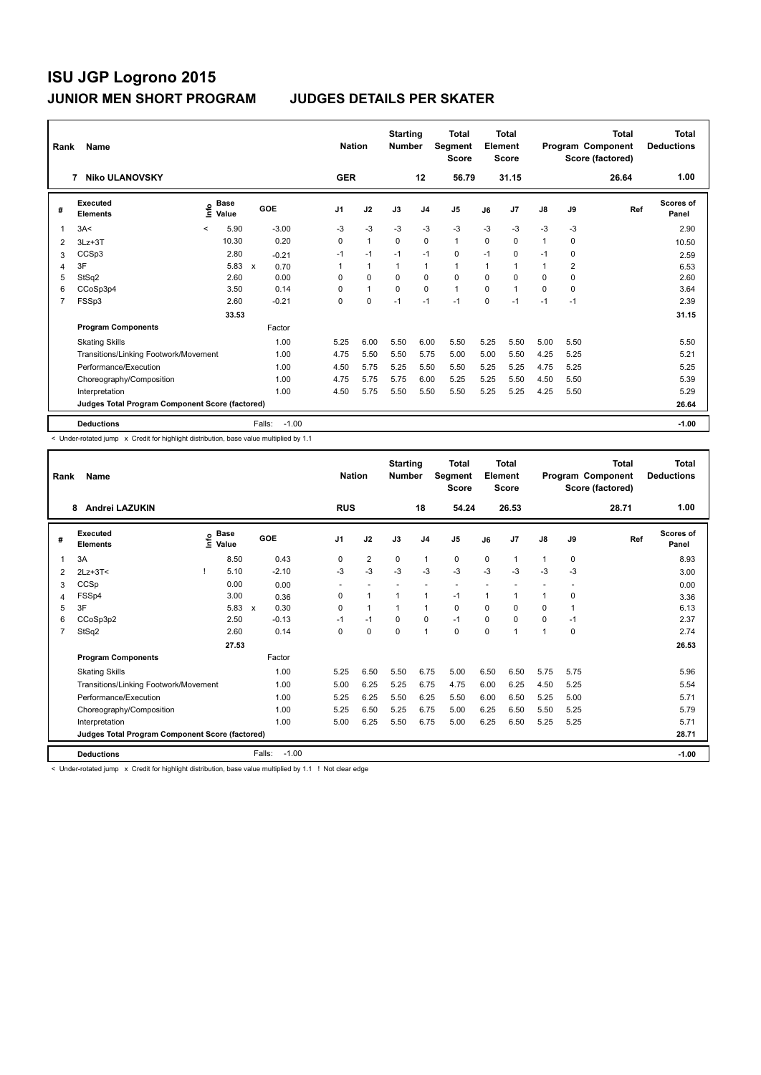| Rank           | Name                                            |              |                      |              |         | <b>Nation</b>  |              | <b>Starting</b><br><b>Number</b> |                | <b>Total</b><br>Segment<br><b>Score</b> |      | <b>Total</b><br>Element<br><b>Score</b> |              |                         | Total<br>Program Component<br>Score (factored) | <b>Total</b><br><b>Deductions</b> |
|----------------|-------------------------------------------------|--------------|----------------------|--------------|---------|----------------|--------------|----------------------------------|----------------|-----------------------------------------|------|-----------------------------------------|--------------|-------------------------|------------------------------------------------|-----------------------------------|
|                | <b>Niko ULANOVSKY</b><br>7                      |              |                      |              |         | <b>GER</b>     |              |                                  | 12             | 56.79                                   |      | 31.15                                   |              |                         | 26.64                                          | 1.00                              |
| #              | Executed<br><b>Elements</b>                     | lnfo         | <b>Base</b><br>Value |              | GOE     | J <sub>1</sub> | J2           | J3                               | J <sub>4</sub> | J <sub>5</sub>                          | J6   | J <sub>7</sub>                          | J8           | J9                      | Ref                                            | <b>Scores of</b><br>Panel         |
| 1              | 3A<                                             | $\checkmark$ | 5.90                 |              | $-3.00$ | $-3$           | $-3$         | $-3$                             | $-3$           | $-3$                                    | $-3$ | $-3$                                    | $-3$         | $-3$                    |                                                | 2.90                              |
| $\overline{2}$ | $3Lz + 3T$                                      |              | 10.30                |              | 0.20    | 0              | $\mathbf{1}$ | $\Omega$                         | $\Omega$       | $\mathbf{1}$                            | 0    | $\Omega$                                | $\mathbf{1}$ | $\Omega$                |                                                | 10.50                             |
| 3              | CCSp3                                           |              | 2.80                 |              | $-0.21$ | $-1$           | $-1$         | $-1$                             | $-1$           | 0                                       | $-1$ | 0                                       | $-1$         | 0                       |                                                | 2.59                              |
| 4              | 3F                                              |              | 5.83                 | $\mathsf{x}$ | 0.70    |                | $\mathbf{1}$ | $\mathbf{1}$                     | $\mathbf{1}$   | $\mathbf{1}$                            | 1    | 1                                       | 1            | $\overline{\mathbf{c}}$ |                                                | 6.53                              |
| 5              | StSq2                                           |              | 2.60                 |              | 0.00    | 0              | $\mathbf 0$  | $\mathbf 0$                      | $\mathbf 0$    | $\mathbf 0$                             | 0    | 0                                       | 0            | 0                       |                                                | 2.60                              |
| 6              | CCoSp3p4                                        |              | 3.50                 |              | 0.14    | 0              | $\mathbf{1}$ | $\mathbf 0$                      | $\mathbf 0$    | $\mathbf{1}$                            | 0    | $\overline{1}$                          | 0            | 0                       |                                                | 3.64                              |
| $\overline{7}$ | FSSp3                                           |              | 2.60                 |              | $-0.21$ | 0              | $\mathbf 0$  | $-1$                             | $-1$           | $-1$                                    | 0    | $-1$                                    | $-1$         | $-1$                    |                                                | 2.39                              |
|                |                                                 |              | 33.53                |              |         |                |              |                                  |                |                                         |      |                                         |              |                         |                                                | 31.15                             |
|                | <b>Program Components</b>                       |              |                      |              | Factor  |                |              |                                  |                |                                         |      |                                         |              |                         |                                                |                                   |
|                | <b>Skating Skills</b>                           |              |                      |              | 1.00    | 5.25           | 6.00         | 5.50                             | 6.00           | 5.50                                    | 5.25 | 5.50                                    | 5.00         | 5.50                    |                                                | 5.50                              |
|                | Transitions/Linking Footwork/Movement           |              |                      |              | 1.00    | 4.75           | 5.50         | 5.50                             | 5.75           | 5.00                                    | 5.00 | 5.50                                    | 4.25         | 5.25                    |                                                | 5.21                              |
|                | Performance/Execution                           |              |                      |              | 1.00    | 4.50           | 5.75         | 5.25                             | 5.50           | 5.50                                    | 5.25 | 5.25                                    | 4.75         | 5.25                    |                                                | 5.25                              |
|                | Choreography/Composition                        |              |                      |              | 1.00    | 4.75           | 5.75         | 5.75                             | 6.00           | 5.25                                    | 5.25 | 5.50                                    | 4.50         | 5.50                    |                                                | 5.39                              |
|                | Interpretation                                  |              |                      |              | 1.00    | 4.50           | 5.75         | 5.50                             | 5.50           | 5.50                                    | 5.25 | 5.25                                    | 4.25         | 5.50                    |                                                | 5.29                              |
|                | Judges Total Program Component Score (factored) |              |                      |              |         |                |              |                                  |                |                                         |      |                                         |              |                         |                                                | 26.64                             |
|                | <b>Deductions</b>                               |              |                      | Falls:       | $-1.00$ |                |              |                                  |                |                                         |      |                                         |              |                         |                                                | $-1.00$                           |

< Under-rotated jump x Credit for highlight distribution, base value multiplied by 1.1

| Rank           | Name                                            |                                           |              |         | <b>Nation</b>  |                      | <b>Starting</b><br><b>Number</b> |                | <b>Total</b><br>Segment<br><b>Score</b> |          | <b>Total</b><br>Element<br><b>Score</b> |              |      | <b>Total</b><br>Program Component<br>Score (factored) | <b>Total</b><br><b>Deductions</b> |
|----------------|-------------------------------------------------|-------------------------------------------|--------------|---------|----------------|----------------------|----------------------------------|----------------|-----------------------------------------|----------|-----------------------------------------|--------------|------|-------------------------------------------------------|-----------------------------------|
|                | Andrei LAZUKIN<br>8                             |                                           |              |         | <b>RUS</b>     |                      |                                  | 18             | 54.24                                   |          | 26.53                                   |              |      | 28.71                                                 | 1.00                              |
| #              | Executed<br><b>Elements</b>                     | $\frac{e}{E}$ Base<br>$\frac{e}{E}$ Value |              | GOE     | J <sub>1</sub> | J2                   | J3                               | J <sub>4</sub> | J5                                      | J6       | J <sub>7</sub>                          | J8           | J9   | Ref                                                   | Scores of<br>Panel                |
| 1              | 3A                                              | 8.50                                      |              | 0.43    | $\Omega$       | $\overline{2}$       | $\mathbf 0$                      | $\mathbf{1}$   | 0                                       | 0        | $\overline{1}$                          | $\mathbf{1}$ | 0    |                                                       | 8.93                              |
| 2              | $2Lz + 3T <$                                    | 5.10                                      |              | $-2.10$ | $-3$           | $-3$                 | $-3$                             | $-3$           | $-3$                                    | $-3$     | $-3$                                    | $-3$         | $-3$ |                                                       | 3.00                              |
| 3              | CCSp                                            | 0.00                                      |              | 0.00    |                |                      |                                  |                |                                         |          |                                         |              |      |                                                       | 0.00                              |
| 4              | FSSp4                                           | 3.00                                      |              | 0.36    | 0              | $\blacktriangleleft$ |                                  | 1              | $-1$                                    | 1        | 1                                       | 1            | 0    |                                                       | 3.36                              |
| 5              | 3F                                              | 5.83                                      | $\mathbf{x}$ | 0.30    | 0              | $\mathbf{1}$         |                                  | $\mathbf{1}$   | 0                                       | $\Omega$ | $\Omega$                                | 0            | 1    |                                                       | 6.13                              |
| 6              | CCoSp3p2                                        | 2.50                                      |              | $-0.13$ | $-1$           | $-1$                 | 0                                | $\mathbf 0$    | $-1$                                    | 0        | $\mathbf 0$                             | 0            | $-1$ |                                                       | 2.37                              |
| $\overline{7}$ | StSq2                                           | 2.60                                      |              | 0.14    | $\Omega$       | $\Omega$             | $\Omega$                         | $\mathbf{1}$   | 0                                       | $\Omega$ | 1                                       | $\mathbf{1}$ | 0    |                                                       | 2.74                              |
|                |                                                 | 27.53                                     |              |         |                |                      |                                  |                |                                         |          |                                         |              |      |                                                       | 26.53                             |
|                | <b>Program Components</b>                       |                                           |              | Factor  |                |                      |                                  |                |                                         |          |                                         |              |      |                                                       |                                   |
|                | <b>Skating Skills</b>                           |                                           |              | 1.00    | 5.25           | 6.50                 | 5.50                             | 6.75           | 5.00                                    | 6.50     | 6.50                                    | 5.75         | 5.75 |                                                       | 5.96                              |
|                | Transitions/Linking Footwork/Movement           |                                           |              | 1.00    | 5.00           | 6.25                 | 5.25                             | 6.75           | 4.75                                    | 6.00     | 6.25                                    | 4.50         | 5.25 |                                                       | 5.54                              |
|                | Performance/Execution                           |                                           |              | 1.00    | 5.25           | 6.25                 | 5.50                             | 6.25           | 5.50                                    | 6.00     | 6.50                                    | 5.25         | 5.00 |                                                       | 5.71                              |
|                | Choreography/Composition                        |                                           |              | 1.00    | 5.25           | 6.50                 | 5.25                             | 6.75           | 5.00                                    | 6.25     | 6.50                                    | 5.50         | 5.25 |                                                       | 5.79                              |
|                | Interpretation                                  |                                           |              | 1.00    | 5.00           | 6.25                 | 5.50                             | 6.75           | 5.00                                    | 6.25     | 6.50                                    | 5.25         | 5.25 |                                                       | 5.71                              |
|                | Judges Total Program Component Score (factored) |                                           |              |         |                |                      |                                  |                |                                         |          |                                         |              |      |                                                       | 28.71                             |
|                | <b>Deductions</b>                               |                                           | Falls:       | $-1.00$ |                |                      |                                  |                |                                         |          |                                         |              |      |                                                       | $-1.00$                           |

< Under-rotated jump x Credit for highlight distribution, base value multiplied by 1.1 ! Not clear edge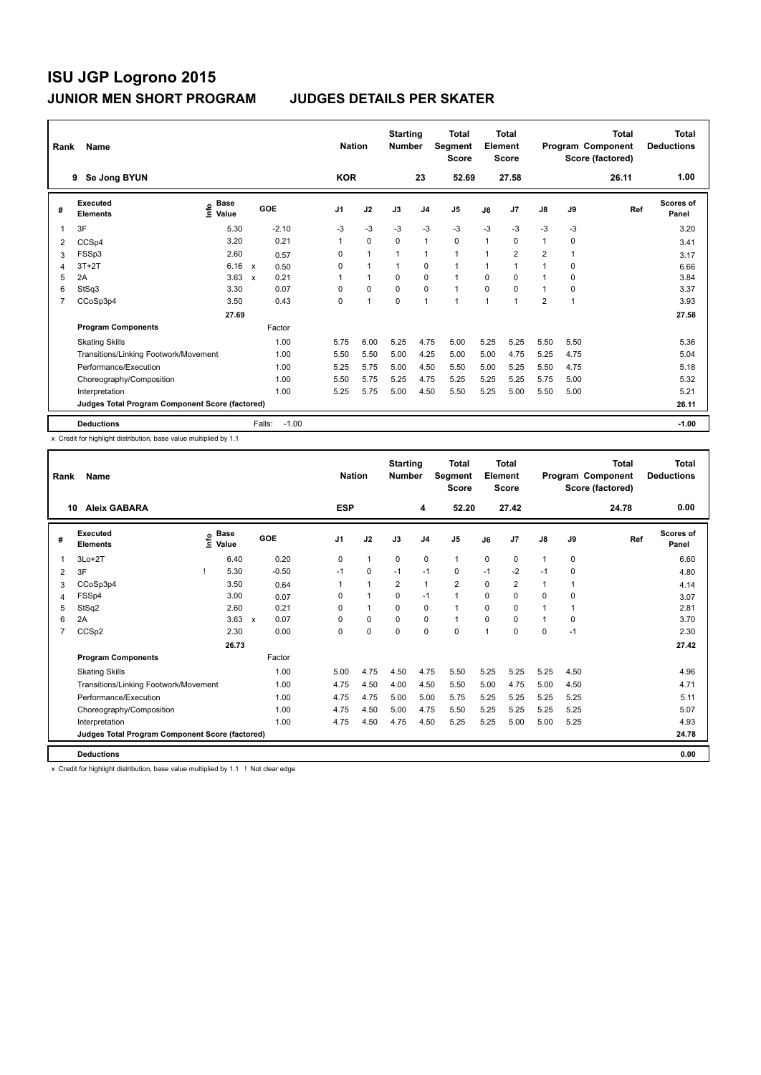| Rank           | Name                                            |                              |                           |         | <b>Nation</b>  |                | <b>Starting</b><br><b>Number</b> |                | Total<br>Segment<br><b>Score</b> |                | <b>Total</b><br>Element<br><b>Score</b> |                         |      | <b>Total</b><br>Program Component<br>Score (factored) | <b>Total</b><br><b>Deductions</b> |
|----------------|-------------------------------------------------|------------------------------|---------------------------|---------|----------------|----------------|----------------------------------|----------------|----------------------------------|----------------|-----------------------------------------|-------------------------|------|-------------------------------------------------------|-----------------------------------|
|                | Se Jong BYUN<br>9                               |                              |                           |         | <b>KOR</b>     |                |                                  | 23             | 52.69                            |                | 27.58                                   |                         |      | 26.11                                                 | 1.00                              |
| #              | Executed<br><b>Elements</b>                     | <b>Base</b><br>١nf٥<br>Value |                           | GOE     | J <sub>1</sub> | J2             | J3                               | J <sub>4</sub> | J <sub>5</sub>                   | J6             | J7                                      | J8                      | J9   | Ref                                                   | <b>Scores of</b><br>Panel         |
| -1             | 3F                                              | 5.30                         |                           | $-2.10$ | $-3$           | -3             | -3                               | -3             | $-3$                             | $-3$           | $-3$                                    | $-3$                    | $-3$ |                                                       | 3.20                              |
| 2              | CCSp4                                           | 3.20                         |                           | 0.21    | $\mathbf{1}$   | $\Omega$       | $\Omega$                         | $\mathbf{1}$   | $\Omega$                         | $\overline{1}$ | 0                                       | $\mathbf{1}$            | 0    |                                                       | 3.41                              |
| 3              | FSSp3                                           | 2.60                         |                           | 0.57    | 0              | $\overline{1}$ |                                  | 1              | $\mathbf{1}$                     |                | $\overline{2}$                          | $\overline{2}$          |      |                                                       | 3.17                              |
| 4              | $3T+2T$                                         | 6.16                         | $\boldsymbol{\mathsf{x}}$ | 0.50    | $\Omega$       | $\mathbf{1}$   |                                  | 0              | $\mathbf{1}$                     | 1              | 1                                       | 1                       | 0    |                                                       | 6.66                              |
| 5              | 2A                                              | 3.63                         | $\mathsf{x}$              | 0.21    | 1              | $\mathbf{1}$   | $\Omega$                         | $\mathbf 0$    | $\mathbf{1}$                     | $\Omega$       | $\Omega$                                | $\mathbf 1$             | 0    |                                                       | 3.84                              |
| 6              | StSq3                                           | 3.30                         |                           | 0.07    | 0              | $\mathbf 0$    | $\mathbf 0$                      | $\mathbf 0$    | $\mathbf{1}$                     | 0              | $\Omega$                                | 1                       | 0    |                                                       | 3.37                              |
| $\overline{7}$ | CCoSp3p4                                        | 3.50                         |                           | 0.43    | 0              | $\overline{1}$ | 0                                | $\mathbf{1}$   | $\overline{ }$                   | 1              | 1                                       | $\overline{\mathbf{c}}$ | 1    |                                                       | 3.93                              |
|                |                                                 | 27.69                        |                           |         |                |                |                                  |                |                                  |                |                                         |                         |      |                                                       | 27.58                             |
|                | <b>Program Components</b>                       |                              |                           | Factor  |                |                |                                  |                |                                  |                |                                         |                         |      |                                                       |                                   |
|                | <b>Skating Skills</b>                           |                              |                           | 1.00    | 5.75           | 6.00           | 5.25                             | 4.75           | 5.00                             | 5.25           | 5.25                                    | 5.50                    | 5.50 |                                                       | 5.36                              |
|                | Transitions/Linking Footwork/Movement           |                              |                           | 1.00    | 5.50           | 5.50           | 5.00                             | 4.25           | 5.00                             | 5.00           | 4.75                                    | 5.25                    | 4.75 |                                                       | 5.04                              |
|                | Performance/Execution                           |                              |                           | 1.00    | 5.25           | 5.75           | 5.00                             | 4.50           | 5.50                             | 5.00           | 5.25                                    | 5.50                    | 4.75 |                                                       | 5.18                              |
|                | Choreography/Composition                        |                              |                           | 1.00    | 5.50           | 5.75           | 5.25                             | 4.75           | 5.25                             | 5.25           | 5.25                                    | 5.75                    | 5.00 |                                                       | 5.32                              |
|                | Interpretation                                  |                              |                           | 1.00    | 5.25           | 5.75           | 5.00                             | 4.50           | 5.50                             | 5.25           | 5.00                                    | 5.50                    | 5.00 |                                                       | 5.21                              |
|                | Judges Total Program Component Score (factored) |                              |                           |         |                |                |                                  |                |                                  |                |                                         |                         |      |                                                       | 26.11                             |
|                | <b>Deductions</b>                               |                              | Falls:                    | $-1.00$ |                |                |                                  |                |                                  |                |                                         |                         |      |                                                       | $-1.00$                           |

x Credit for highlight distribution, base value multiplied by 1.1

| Rank           | Name                                            |                            |                           |         |            | <b>Nation</b> | <b>Starting</b><br><b>Number</b> |                | <b>Total</b><br>Segment<br><b>Score</b> |          | Total<br>Element<br><b>Score</b> |               |          | Total<br>Program Component<br>Score (factored) | <b>Total</b><br><b>Deductions</b> |
|----------------|-------------------------------------------------|----------------------------|---------------------------|---------|------------|---------------|----------------------------------|----------------|-----------------------------------------|----------|----------------------------------|---------------|----------|------------------------------------------------|-----------------------------------|
|                | <b>Aleix GABARA</b><br>10                       |                            |                           |         | <b>ESP</b> |               |                                  | 4              | 52.20                                   |          | 27.42                            |               |          | 24.78                                          | 0.00                              |
| #              | Executed<br><b>Elements</b>                     | e Base<br>E Value<br>Value | GOE                       |         | J1         | J2            | J3                               | J <sub>4</sub> | J <sub>5</sub>                          | J6       | J7                               | $\mathsf{J}8$ | J9       | Ref                                            | Scores of<br>Panel                |
|                | $3Lo+2T$                                        | 6.40                       |                           | 0.20    | 0          | $\mathbf{1}$  | 0                                | 0              | $\mathbf{1}$                            | 0        | 0                                | 1             | 0        |                                                | 6.60                              |
| 2              | 3F                                              | 5.30                       |                           | $-0.50$ | $-1$       | $\Omega$      | $-1$                             | $-1$           | 0                                       | $-1$     | $-2$                             | $-1$          | 0        |                                                | 4.80                              |
| 3              | CCoSp3p4                                        | 3.50                       |                           | 0.64    | 1          | $\mathbf{1}$  | $\overline{2}$                   | 1              | $\overline{2}$                          | 0        | $\overline{2}$                   | 1             | 1        |                                                | 4.14                              |
| 4              | FSSp4                                           | 3.00                       |                           | 0.07    | $\Omega$   | $\mathbf{1}$  | 0                                | $-1$           | 1                                       | $\Omega$ | 0                                | 0             | $\Omega$ |                                                | 3.07                              |
| 5              | StSq2                                           | 2.60                       |                           | 0.21    | $\Omega$   | $\mathbf{1}$  | $\Omega$                         | $\Omega$       | 1                                       | $\Omega$ | $\Omega$                         | 1             | 1        |                                                | 2.81                              |
| 6              | 2A                                              | 3.63                       | $\boldsymbol{\mathsf{x}}$ | 0.07    | $\Omega$   | $\Omega$      | $\Omega$                         | $\Omega$       | 1                                       | 0        | 0                                | $\mathbf{1}$  | $\Omega$ |                                                | 3.70                              |
| $\overline{7}$ | CCSp2                                           | 2.30                       |                           | 0.00    | $\Omega$   | 0             | 0                                | $\Omega$       | $\Omega$                                | 1        | 0                                | 0             | $-1$     |                                                | 2.30                              |
|                |                                                 | 26.73                      |                           |         |            |               |                                  |                |                                         |          |                                  |               |          |                                                | 27.42                             |
|                | <b>Program Components</b>                       |                            |                           | Factor  |            |               |                                  |                |                                         |          |                                  |               |          |                                                |                                   |
|                | <b>Skating Skills</b>                           |                            |                           | 1.00    | 5.00       | 4.75          | 4.50                             | 4.75           | 5.50                                    | 5.25     | 5.25                             | 5.25          | 4.50     |                                                | 4.96                              |
|                | Transitions/Linking Footwork/Movement           |                            |                           | 1.00    | 4.75       | 4.50          | 4.00                             | 4.50           | 5.50                                    | 5.00     | 4.75                             | 5.00          | 4.50     |                                                | 4.71                              |
|                | Performance/Execution                           |                            |                           | 1.00    | 4.75       | 4.75          | 5.00                             | 5.00           | 5.75                                    | 5.25     | 5.25                             | 5.25          | 5.25     |                                                | 5.11                              |
|                | Choreography/Composition                        |                            |                           | 1.00    | 4.75       | 4.50          | 5.00                             | 4.75           | 5.50                                    | 5.25     | 5.25                             | 5.25          | 5.25     |                                                | 5.07                              |
|                | Interpretation                                  |                            |                           | 1.00    | 4.75       | 4.50          | 4.75                             | 4.50           | 5.25                                    | 5.25     | 5.00                             | 5.00          | 5.25     |                                                | 4.93                              |
|                | Judges Total Program Component Score (factored) |                            |                           |         |            |               |                                  |                |                                         |          |                                  |               |          |                                                | 24.78                             |
|                | <b>Deductions</b>                               |                            |                           |         |            |               |                                  |                |                                         |          |                                  |               |          |                                                | 0.00                              |

x Credit for highlight distribution, base value multiplied by 1.1 ! Not clear edge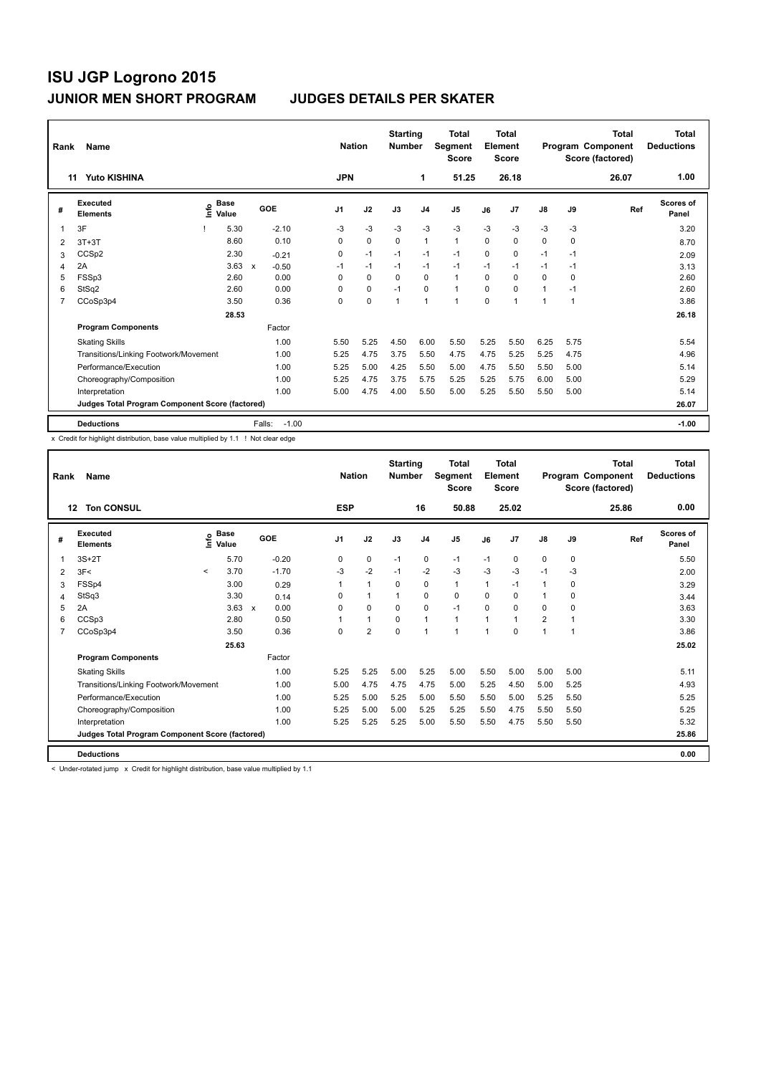| Rank | Name                                            |    |                      |                           |         | <b>Nation</b>  |             | <b>Starting</b><br><b>Number</b> |                | Total<br>Segment<br><b>Score</b> |          | <b>Total</b><br>Element<br>Score |      |                | <b>Total</b><br>Program Component<br>Score (factored) | Total<br><b>Deductions</b> |
|------|-------------------------------------------------|----|----------------------|---------------------------|---------|----------------|-------------|----------------------------------|----------------|----------------------------------|----------|----------------------------------|------|----------------|-------------------------------------------------------|----------------------------|
|      | <b>Yuto KISHINA</b><br>11                       |    |                      |                           |         | <b>JPN</b>     |             |                                  | 1              | 51.25                            |          | 26.18                            |      |                | 26.07                                                 | 1.00                       |
| #    | Executed<br><b>Elements</b>                     | ۴ů | <b>Base</b><br>Value |                           | GOE     | J <sub>1</sub> | J2          | J3                               | J <sub>4</sub> | J <sub>5</sub>                   | J6       | J7                               | J8   | J9             | Ref                                                   | <b>Scores of</b><br>Panel  |
| 1    | 3F                                              |    | 5.30                 |                           | $-2.10$ | $-3$           | $-3$        | $-3$                             | -3             | $-3$                             | $-3$     | $-3$                             | $-3$ | -3             |                                                       | 3.20                       |
| 2    | $3T+3T$                                         |    | 8.60                 |                           | 0.10    | $\Omega$       | $\mathbf 0$ | $\Omega$                         | $\mathbf{1}$   | $\mathbf{1}$                     | $\Omega$ | 0                                | 0    | 0              |                                                       | 8.70                       |
| 3    | CCS <sub>p2</sub>                               |    | 2.30                 |                           | $-0.21$ | 0              | $-1$        | $-1$                             | $-1$           | $-1$                             | $\Omega$ | 0                                | $-1$ | $-1$           |                                                       | 2.09                       |
| 4    | 2A                                              |    | 3.63                 | $\boldsymbol{\mathsf{x}}$ | $-0.50$ | $-1$           | $-1$        | $-1$                             | $-1$           | $-1$                             | $-1$     | $-1$                             | $-1$ | $-1$           |                                                       | 3.13                       |
| 5    | FSSp3                                           |    | 2.60                 |                           | 0.00    | 0              | $\mathbf 0$ | $\mathbf 0$                      | $\mathbf 0$    | $\mathbf{1}$                     | $\Omega$ | 0                                | 0    | 0              |                                                       | 2.60                       |
| 6    | StSq2                                           |    | 2.60                 |                           | 0.00    | $\Omega$       | $\mathbf 0$ | $-1$                             | $\mathbf 0$    | $\mathbf{1}$                     | 0        | 0                                | 1    | $-1$           |                                                       | 2.60                       |
| 7    | CCoSp3p4                                        |    | 3.50                 |                           | 0.36    | 0              | $\pmb{0}$   | 1                                | $\mathbf{1}$   | $\overline{1}$                   | 0        | $\overline{\phantom{a}}$         | 1    | $\overline{1}$ |                                                       | 3.86                       |
|      |                                                 |    | 28.53                |                           |         |                |             |                                  |                |                                  |          |                                  |      |                |                                                       | 26.18                      |
|      | <b>Program Components</b>                       |    |                      |                           | Factor  |                |             |                                  |                |                                  |          |                                  |      |                |                                                       |                            |
|      | <b>Skating Skills</b>                           |    |                      |                           | 1.00    | 5.50           | 5.25        | 4.50                             | 6.00           | 5.50                             | 5.25     | 5.50                             | 6.25 | 5.75           |                                                       | 5.54                       |
|      | Transitions/Linking Footwork/Movement           |    |                      |                           | 1.00    | 5.25           | 4.75        | 3.75                             | 5.50           | 4.75                             | 4.75     | 5.25                             | 5.25 | 4.75           |                                                       | 4.96                       |
|      | Performance/Execution                           |    |                      |                           | 1.00    | 5.25           | 5.00        | 4.25                             | 5.50           | 5.00                             | 4.75     | 5.50                             | 5.50 | 5.00           |                                                       | 5.14                       |
|      | Choreography/Composition                        |    |                      |                           | 1.00    | 5.25           | 4.75        | 3.75                             | 5.75           | 5.25                             | 5.25     | 5.75                             | 6.00 | 5.00           |                                                       | 5.29                       |
|      | Interpretation                                  |    |                      |                           | 1.00    | 5.00           | 4.75        | 4.00                             | 5.50           | 5.00                             | 5.25     | 5.50                             | 5.50 | 5.00           |                                                       | 5.14                       |
|      | Judges Total Program Component Score (factored) |    |                      |                           |         |                |             |                                  |                |                                  |          |                                  |      |                |                                                       | 26.07                      |
|      | <b>Deductions</b>                               |    |                      | Falls:                    | $-1.00$ |                |             |                                  |                |                                  |          |                                  |      |                |                                                       | $-1.00$                    |

x Credit for highlight distribution, base value multiplied by 1.1 ! Not clear edge

| Rank | Name                                            |         |                   |                           |         |            | <b>Nation</b>  | <b>Starting</b><br><b>Number</b> |                | Total<br>Segment<br><b>Score</b> |          | <b>Total</b><br>Element<br><b>Score</b> |                |      | Total<br>Program Component<br>Score (factored) | <b>Total</b><br><b>Deductions</b> |
|------|-------------------------------------------------|---------|-------------------|---------------------------|---------|------------|----------------|----------------------------------|----------------|----------------------------------|----------|-----------------------------------------|----------------|------|------------------------------------------------|-----------------------------------|
|      | <b>Ton CONSUL</b><br>12                         |         |                   |                           |         | <b>ESP</b> |                |                                  | 16             | 50.88                            |          | 25.02                                   |                |      | 25.86                                          | 0.00                              |
| #    | <b>Executed</b><br><b>Elements</b>              |         | e Base<br>E Value |                           | GOE     | J1         | J2             | J3                               | J <sub>4</sub> | J <sub>5</sub>                   | J6       | J <sub>7</sub>                          | $\mathsf{J}8$  | J9   | Ref                                            | <b>Scores of</b><br>Panel         |
|      | $3S+2T$                                         |         | 5.70              |                           | $-0.20$ | 0          | 0              | $-1$                             | $\mathbf 0$    | $-1$                             | $-1$     | 0                                       | 0              | 0    |                                                | 5.50                              |
| 2    | 3F<                                             | $\prec$ | 3.70              |                           | $-1.70$ | -3         | $-2$           | $-1$                             | $-2$           | $-3$                             | $-3$     | $-3$                                    | $-1$           | -3   |                                                | 2.00                              |
| 3    | FSSp4                                           |         | 3.00              |                           | 0.29    | 1          | $\mathbf{1}$   | 0                                | 0              | $\mathbf{1}$                     | 1        | $-1$                                    | 1              | 0    |                                                | 3.29                              |
| 4    | StSq3                                           |         | 3.30              |                           | 0.14    | $\Omega$   | $\mathbf{1}$   | 1                                | 0              | 0                                | $\Omega$ | 0                                       | 1              | 0    |                                                | 3.44                              |
| 5    | 2A                                              |         | 3.63              | $\boldsymbol{\mathsf{x}}$ | 0.00    | $\Omega$   | 0              | $\Omega$                         | $\mathbf 0$    | $-1$                             | $\Omega$ | $\Omega$                                | 0              | 0    |                                                | 3.63                              |
| 6    | CCSp3                                           |         | 2.80              |                           | 0.50    | 1          | $\mathbf{1}$   | $\Omega$                         | $\mathbf{1}$   | $\mathbf{1}$                     | 1        | $\blacktriangleleft$                    | $\overline{2}$ | 1    |                                                | 3.30                              |
| 7    | CCoSp3p4                                        |         | 3.50              |                           | 0.36    | 0          | $\overline{2}$ | $\mathbf 0$                      | $\mathbf{1}$   | 1                                | 1        | $\Omega$                                | $\mathbf{1}$   | 1    |                                                | 3.86                              |
|      |                                                 |         | 25.63             |                           |         |            |                |                                  |                |                                  |          |                                         |                |      |                                                | 25.02                             |
|      | <b>Program Components</b>                       |         |                   |                           | Factor  |            |                |                                  |                |                                  |          |                                         |                |      |                                                |                                   |
|      | <b>Skating Skills</b>                           |         |                   |                           | 1.00    | 5.25       | 5.25           | 5.00                             | 5.25           | 5.00                             | 5.50     | 5.00                                    | 5.00           | 5.00 |                                                | 5.11                              |
|      | Transitions/Linking Footwork/Movement           |         |                   |                           | 1.00    | 5.00       | 4.75           | 4.75                             | 4.75           | 5.00                             | 5.25     | 4.50                                    | 5.00           | 5.25 |                                                | 4.93                              |
|      | Performance/Execution                           |         |                   |                           | 1.00    | 5.25       | 5.00           | 5.25                             | 5.00           | 5.50                             | 5.50     | 5.00                                    | 5.25           | 5.50 |                                                | 5.25                              |
|      | Choreography/Composition                        |         |                   |                           | 1.00    | 5.25       | 5.00           | 5.00                             | 5.25           | 5.25                             | 5.50     | 4.75                                    | 5.50           | 5.50 |                                                | 5.25                              |
|      | Interpretation                                  |         |                   |                           | 1.00    | 5.25       | 5.25           | 5.25                             | 5.00           | 5.50                             | 5.50     | 4.75                                    | 5.50           | 5.50 |                                                | 5.32                              |
|      | Judges Total Program Component Score (factored) |         |                   |                           |         |            |                |                                  |                |                                  |          |                                         |                |      |                                                | 25.86                             |
|      | <b>Deductions</b>                               |         |                   |                           |         |            |                |                                  |                |                                  |          |                                         |                |      |                                                | 0.00                              |

< Under-rotated jump x Credit for highlight distribution, base value multiplied by 1.1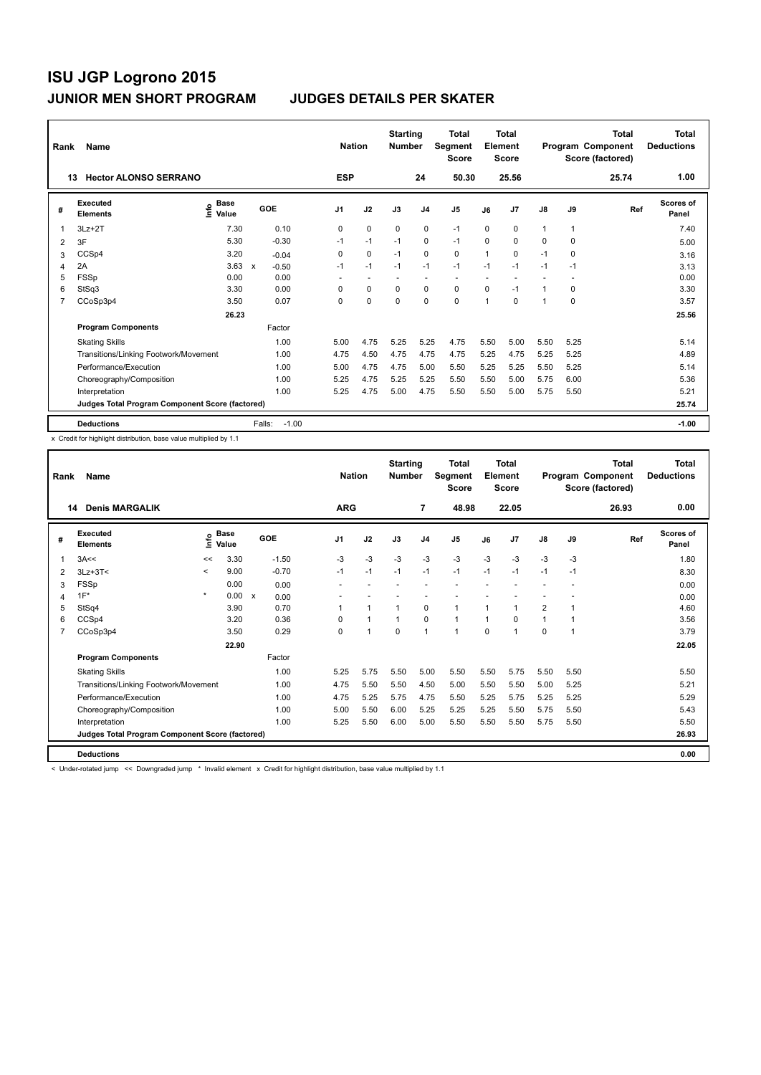| Rank | Name                                            |                                    |                         |                | <b>Nation</b> | <b>Starting</b><br><b>Number</b> |                | <b>Total</b><br>Segment<br><b>Score</b> |      | <b>Total</b><br>Element<br><b>Score</b> |      |          | <b>Total</b><br>Program Component<br>Score (factored) | <b>Total</b><br><b>Deductions</b> |
|------|-------------------------------------------------|------------------------------------|-------------------------|----------------|---------------|----------------------------------|----------------|-----------------------------------------|------|-----------------------------------------|------|----------|-------------------------------------------------------|-----------------------------------|
| 13   | <b>Hector ALONSO SERRANO</b>                    |                                    |                         | <b>ESP</b>     |               |                                  | 24             | 50.30                                   |      | 25.56                                   |      |          | 25.74                                                 | 1.00                              |
| #    | Executed<br><b>Elements</b>                     | <b>Base</b><br>$\frac{6}{5}$ Value | GOE                     | J <sub>1</sub> | J2            | J3                               | J <sub>4</sub> | J <sub>5</sub>                          | J6   | J7                                      | J8   | J9       | Ref                                                   | <b>Scores of</b><br>Panel         |
| 1    | $3Lz + 2T$                                      | 7.30                               | 0.10                    | 0              | 0             | $\Omega$                         | 0              | $-1$                                    | 0    | 0                                       | 1    | 1        |                                                       | 7.40                              |
| 2    | 3F                                              | 5.30                               | $-0.30$                 | $-1$           | $-1$          | $-1$                             | $\mathbf 0$    | $-1$                                    | 0    | $\Omega$                                | 0    | $\Omega$ |                                                       | 5.00                              |
| 3    | CCSp4                                           | 3.20                               | $-0.04$                 | 0              | $\mathbf 0$   | $-1$                             | $\mathbf 0$    | 0                                       | 1    | 0                                       | $-1$ | 0        |                                                       | 3.16                              |
| 4    | 2A                                              | 3.63                               | $\mathsf{x}$<br>$-0.50$ | $-1$           | $-1$          | $-1$                             | $-1$           | $-1$                                    | $-1$ | $-1$                                    | $-1$ | $-1$     |                                                       | 3.13                              |
| 5    | <b>FSSp</b>                                     | 0.00                               | 0.00                    | ٠              | ٠             |                                  | ٠              | $\overline{\phantom{a}}$                |      |                                         |      |          |                                                       | 0.00                              |
| 6    | StSq3                                           | 3.30                               | 0.00                    | 0              | $\mathbf 0$   | $\mathbf 0$                      | $\mathbf 0$    | $\mathbf 0$                             | 0    | $-1$                                    | 1    | 0        |                                                       | 3.30                              |
| 7    | CCoSp3p4                                        | 3.50                               | 0.07                    | 0              | 0             | 0                                | 0              | 0                                       | 1    | 0                                       | 1    | 0        |                                                       | 3.57                              |
|      |                                                 | 26.23                              |                         |                |               |                                  |                |                                         |      |                                         |      |          |                                                       | 25.56                             |
|      | <b>Program Components</b>                       |                                    | Factor                  |                |               |                                  |                |                                         |      |                                         |      |          |                                                       |                                   |
|      | <b>Skating Skills</b>                           |                                    | 1.00                    | 5.00           | 4.75          | 5.25                             | 5.25           | 4.75                                    | 5.50 | 5.00                                    | 5.50 | 5.25     |                                                       | 5.14                              |
|      | Transitions/Linking Footwork/Movement           |                                    | 1.00                    | 4.75           | 4.50          | 4.75                             | 4.75           | 4.75                                    | 5.25 | 4.75                                    | 5.25 | 5.25     |                                                       | 4.89                              |
|      | Performance/Execution                           |                                    | 1.00                    | 5.00           | 4.75          | 4.75                             | 5.00           | 5.50                                    | 5.25 | 5.25                                    | 5.50 | 5.25     |                                                       | 5.14                              |
|      | Choreography/Composition                        |                                    | 1.00                    | 5.25           | 4.75          | 5.25                             | 5.25           | 5.50                                    | 5.50 | 5.00                                    | 5.75 | 6.00     |                                                       | 5.36                              |
|      | Interpretation                                  |                                    | 1.00                    | 5.25           | 4.75          | 5.00                             | 4.75           | 5.50                                    | 5.50 | 5.00                                    | 5.75 | 5.50     |                                                       | 5.21                              |
|      | Judges Total Program Component Score (factored) |                                    |                         |                |               |                                  |                |                                         |      |                                         |      |          |                                                       | 25.74                             |
|      | <b>Deductions</b>                               |                                    | Falls:                  | $-1.00$        |               |                                  |                |                                         |      |                                         |      |          |                                                       | $-1.00$                           |

x Credit for highlight distribution, base value multiplied by 1.1

| Rank | Name                                            |         |                            |              |         |            | <b>Nation</b>        | <b>Starting</b><br><b>Number</b> |                | <b>Total</b><br>Segment<br><b>Score</b> |              | <b>Total</b><br>Element<br><b>Score</b> |                |      | Total<br>Program Component<br>Score (factored) | <b>Total</b><br><b>Deductions</b> |
|------|-------------------------------------------------|---------|----------------------------|--------------|---------|------------|----------------------|----------------------------------|----------------|-----------------------------------------|--------------|-----------------------------------------|----------------|------|------------------------------------------------|-----------------------------------|
| 14   | <b>Denis MARGALIK</b>                           |         |                            |              |         | <b>ARG</b> |                      |                                  | $\overline{7}$ | 48.98                                   |              | 22.05                                   |                |      | 26.93                                          | 0.00                              |
| #    | Executed<br><b>Elements</b>                     |         | e Base<br>E Value<br>Value | GOE          |         | J1         | J2                   | J3                               | J <sub>4</sub> | J5                                      | J6           | J7                                      | J8             | J9   | Ref                                            | <b>Scores of</b><br>Panel         |
| 1    | 3A<<                                            | <<      | 3.30                       |              | $-1.50$ | $-3$       | $-3$                 | $-3$                             | $-3$           | $-3$                                    | $-3$         | $-3$                                    | $-3$           | $-3$ |                                                | 1.80                              |
| 2    | $3Lz + 3T <$                                    | $\prec$ | 9.00                       |              | $-0.70$ | $-1$       | $-1$                 | $-1$                             | $-1$           | $-1$                                    | $-1$         | $-1$                                    | $-1$           | $-1$ |                                                | 8.30                              |
| 3    | <b>FSSp</b>                                     |         | 0.00                       |              | 0.00    |            |                      |                                  |                |                                         |              |                                         |                |      |                                                | 0.00                              |
| 4    | $1F^*$                                          | $\star$ | 0.00                       | $\mathsf{x}$ | 0.00    |            |                      |                                  |                |                                         |              |                                         |                |      |                                                | 0.00                              |
| 5    | StSq4                                           |         | 3.90                       |              | 0.70    |            | $\blacktriangleleft$ | $\overline{1}$                   | $\Omega$       | 1                                       | 1            | 1                                       | $\overline{2}$ | 1    |                                                | 4.60                              |
| 6    | CCSp4                                           |         | 3.20                       |              | 0.36    | $\Omega$   | $\blacktriangleleft$ | 1                                | 0              | $\mathbf{1}$                            | $\mathbf{1}$ | $\Omega$                                | $\mathbf{1}$   | 1    |                                                | 3.56                              |
| 7    | CCoSp3p4                                        |         | 3.50                       |              | 0.29    | 0          | $\blacktriangleleft$ | $\Omega$                         | $\overline{1}$ | 1                                       | $\Omega$     | 1                                       | 0              | 1    |                                                | 3.79                              |
|      |                                                 |         | 22.90                      |              |         |            |                      |                                  |                |                                         |              |                                         |                |      |                                                | 22.05                             |
|      | <b>Program Components</b>                       |         |                            |              | Factor  |            |                      |                                  |                |                                         |              |                                         |                |      |                                                |                                   |
|      | <b>Skating Skills</b>                           |         |                            |              | 1.00    | 5.25       | 5.75                 | 5.50                             | 5.00           | 5.50                                    | 5.50         | 5.75                                    | 5.50           | 5.50 |                                                | 5.50                              |
|      | Transitions/Linking Footwork/Movement           |         |                            |              | 1.00    | 4.75       | 5.50                 | 5.50                             | 4.50           | 5.00                                    | 5.50         | 5.50                                    | 5.00           | 5.25 |                                                | 5.21                              |
|      | Performance/Execution                           |         |                            |              | 1.00    | 4.75       | 5.25                 | 5.75                             | 4.75           | 5.50                                    | 5.25         | 5.75                                    | 5.25           | 5.25 |                                                | 5.29                              |
|      | Choreography/Composition                        |         |                            |              | 1.00    | 5.00       | 5.50                 | 6.00                             | 5.25           | 5.25                                    | 5.25         | 5.50                                    | 5.75           | 5.50 |                                                | 5.43                              |
|      | Interpretation                                  |         |                            |              | 1.00    | 5.25       | 5.50                 | 6.00                             | 5.00           | 5.50                                    | 5.50         | 5.50                                    | 5.75           | 5.50 |                                                | 5.50                              |
|      | Judges Total Program Component Score (factored) |         |                            |              |         |            |                      |                                  |                |                                         |              |                                         |                |      |                                                | 26.93                             |
|      | <b>Deductions</b>                               |         |                            |              |         |            |                      |                                  |                |                                         |              |                                         |                |      |                                                | 0.00                              |

< Under-rotated jump << Downgraded jump \* Invalid element x Credit for highlight distribution, base value multiplied by 1.1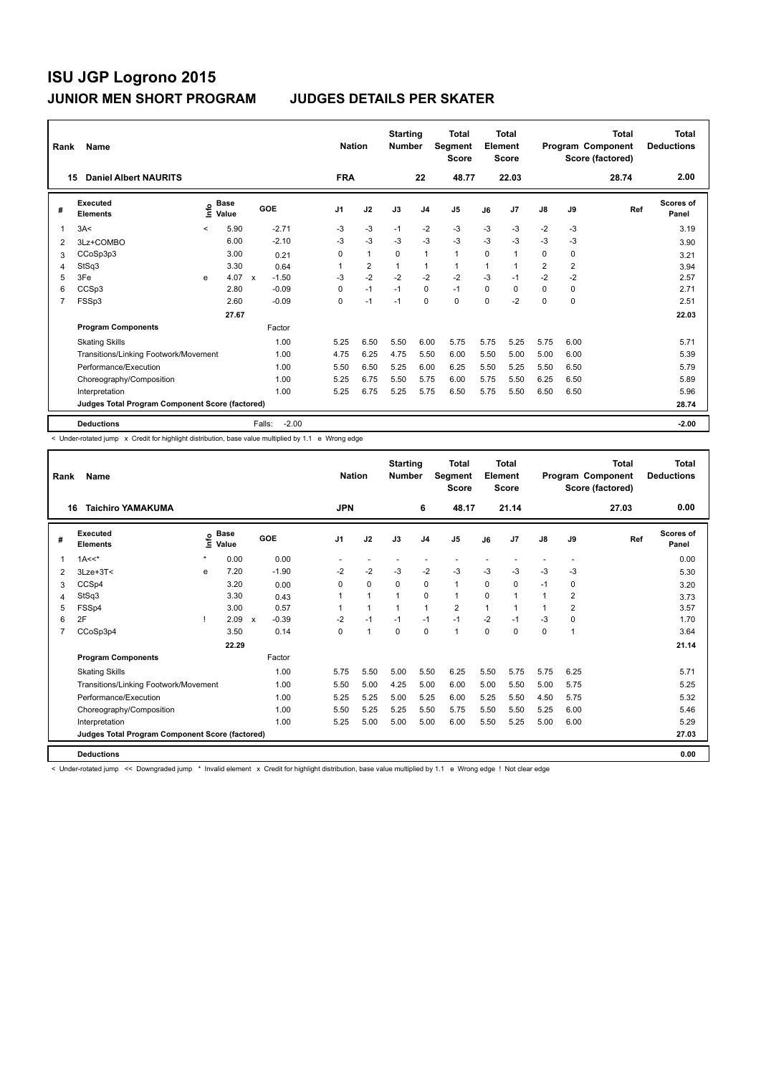| Rank | Name                                            |         |                      |              |         | <b>Nation</b>  |                | <b>Starting</b><br><b>Number</b> |                | <b>Total</b><br><b>Segment</b><br><b>Score</b> |      | <b>Total</b><br>Element<br><b>Score</b> |                |                | <b>Total</b><br>Program Component<br>Score (factored) | <b>Total</b><br><b>Deductions</b> |
|------|-------------------------------------------------|---------|----------------------|--------------|---------|----------------|----------------|----------------------------------|----------------|------------------------------------------------|------|-----------------------------------------|----------------|----------------|-------------------------------------------------------|-----------------------------------|
| 15   | <b>Daniel Albert NAURITS</b>                    |         |                      |              |         | <b>FRA</b>     |                |                                  | 22             | 48.77                                          |      | 22.03                                   |                |                | 28.74                                                 | 2.00                              |
| #    | Executed<br><b>Elements</b>                     | lnfo    | <b>Base</b><br>Value |              | GOE     | J <sub>1</sub> | J2             | J3                               | J <sub>4</sub> | J <sub>5</sub>                                 | J6   | J <sub>7</sub>                          | J8             | J9             | Ref                                                   | Scores of<br>Panel                |
| 1    | 3A<                                             | $\prec$ | 5.90                 |              | $-2.71$ | -3             | $-3$           | $-1$                             | $-2$           | $-3$                                           | $-3$ | $-3$                                    | $-2$           | -3             |                                                       | 3.19                              |
| 2    | 3Lz+COMBO                                       |         | 6.00                 |              | $-2.10$ | $-3$           | $-3$           | $-3$                             | $-3$           | $-3$                                           | $-3$ | $-3$                                    | $-3$           | $-3$           |                                                       | 3.90                              |
| 3    | CCoSp3p3                                        |         | 3.00                 |              | 0.21    | 0              | $\mathbf{1}$   | $\Omega$                         | $\mathbf{1}$   | $\blacktriangleleft$                           | 0    | 1                                       | 0              | 0              |                                                       | 3.21                              |
| 4    | StSq3                                           |         | 3.30                 |              | 0.64    |                | $\overline{2}$ | 1                                | $\mathbf{1}$   | 1                                              | 1    | 1                                       | $\overline{2}$ | $\overline{2}$ |                                                       | 3.94                              |
| 5    | 3Fe                                             | e       | 4.07                 | $\mathsf{x}$ | $-1.50$ | $-3$           | $-2$           | $-2$                             | $-2$           | $-2$                                           | $-3$ | $-1$                                    | $-2$           | $-2$           |                                                       | 2.57                              |
| 6    | CCSp3                                           |         | 2.80                 |              | $-0.09$ | 0              | $-1$           | $-1$                             | $\mathbf 0$    | $-1$                                           | 0    | $\Omega$                                | 0              | 0              |                                                       | 2.71                              |
| 7    | FSSp3                                           |         | 2.60                 |              | $-0.09$ | 0              | $-1$           | $-1$                             | $\mathbf 0$    | $\mathbf 0$                                    | 0    | $-2$                                    | 0              | $\mathbf 0$    |                                                       | 2.51                              |
|      |                                                 |         | 27.67                |              |         |                |                |                                  |                |                                                |      |                                         |                |                |                                                       | 22.03                             |
|      | <b>Program Components</b>                       |         |                      |              | Factor  |                |                |                                  |                |                                                |      |                                         |                |                |                                                       |                                   |
|      | <b>Skating Skills</b>                           |         |                      |              | 1.00    | 5.25           | 6.50           | 5.50                             | 6.00           | 5.75                                           | 5.75 | 5.25                                    | 5.75           | 6.00           |                                                       | 5.71                              |
|      | Transitions/Linking Footwork/Movement           |         |                      |              | 1.00    | 4.75           | 6.25           | 4.75                             | 5.50           | 6.00                                           | 5.50 | 5.00                                    | 5.00           | 6.00           |                                                       | 5.39                              |
|      | Performance/Execution                           |         |                      |              | 1.00    | 5.50           | 6.50           | 5.25                             | 6.00           | 6.25                                           | 5.50 | 5.25                                    | 5.50           | 6.50           |                                                       | 5.79                              |
|      | Choreography/Composition                        |         |                      |              | 1.00    | 5.25           | 6.75           | 5.50                             | 5.75           | 6.00                                           | 5.75 | 5.50                                    | 6.25           | 6.50           |                                                       | 5.89                              |
|      | Interpretation                                  |         |                      |              | 1.00    | 5.25           | 6.75           | 5.25                             | 5.75           | 6.50                                           | 5.75 | 5.50                                    | 6.50           | 6.50           |                                                       | 5.96                              |
|      | Judges Total Program Component Score (factored) |         |                      |              |         |                |                |                                  |                |                                                |      |                                         |                |                |                                                       | 28.74                             |
|      | <b>Deductions</b>                               |         |                      | Falls:       | $-2.00$ |                |                |                                  |                |                                                |      |                                         |                |                |                                                       | $-2.00$                           |

< Under-rotated jump x Credit for highlight distribution, base value multiplied by 1.1 e Wrong edge

| Rank | <b>Name</b>                                     |         |                      |                           |         |            | <b>Nation</b> | <b>Starting</b><br><b>Number</b> |                | <b>Total</b><br>Segment<br><b>Score</b> |      | <b>Total</b><br>Element<br><b>Score</b> |               |                | Total<br>Program Component<br>Score (factored) | <b>Total</b><br><b>Deductions</b> |
|------|-------------------------------------------------|---------|----------------------|---------------------------|---------|------------|---------------|----------------------------------|----------------|-----------------------------------------|------|-----------------------------------------|---------------|----------------|------------------------------------------------|-----------------------------------|
| 16   | <b>Taichiro YAMAKUMA</b>                        |         |                      |                           |         | <b>JPN</b> |               |                                  | 6              | 48.17                                   |      | 21.14                                   |               |                | 27.03                                          | 0.00                              |
| #    | Executed<br><b>Elements</b>                     | ۴ů      | <b>Base</b><br>Value |                           | GOE     | J1         | J2            | J3                               | J <sub>4</sub> | J <sub>5</sub>                          | J6   | J <sub>7</sub>                          | $\mathsf{J}8$ | J9             | Ref                                            | <b>Scores of</b><br>Panel         |
|      | $1A<<$ *                                        | $\star$ | 0.00                 |                           | 0.00    |            |               |                                  |                |                                         |      |                                         |               |                |                                                | 0.00                              |
| 2    | $3$ Lze+ $3$ T<                                 | e       | 7.20                 |                           | $-1.90$ | $-2$       | $-2$          | $-3$                             | $-2$           | $-3$                                    | $-3$ | $-3$                                    | $-3$          | $-3$           |                                                | 5.30                              |
| 3    | CCSp4                                           |         | 3.20                 |                           | 0.00    | 0          | 0             | $\mathbf 0$                      | $\mathbf 0$    | $\mathbf{1}$                            | 0    | 0                                       | $-1$          | 0              |                                                | 3.20                              |
| 4    | StSq3                                           |         | 3.30                 |                           | 0.43    | 1          | $\mathbf{1}$  | $\mathbf{1}$                     | $\mathbf 0$    | $\mathbf{1}$                            | 0    | $\mathbf{1}$                            | 1             | $\overline{2}$ |                                                | 3.73                              |
| 5    | FSSp4                                           |         | 3.00                 |                           | 0.57    | 1          | $\mathbf{1}$  | $\mathbf{1}$                     | $\mathbf{1}$   | $\overline{2}$                          | 1    | 1                                       | $\mathbf{1}$  | 2              |                                                | 3.57                              |
| 6    | 2F                                              |         | 2.09                 | $\boldsymbol{\mathsf{x}}$ | $-0.39$ | $-2$       | $-1$          | $-1$                             | $-1$           | $-1$                                    | $-2$ | $-1$                                    | $-3$          | 0              |                                                | 1.70                              |
| 7    | CCoSp3p4                                        |         | 3.50                 |                           | 0.14    | $\Omega$   | $\mathbf{1}$  | $\Omega$                         | $\Omega$       | $\mathbf{1}$                            | 0    | $\Omega$                                | 0             | $\overline{1}$ |                                                | 3.64                              |
|      |                                                 |         | 22.29                |                           |         |            |               |                                  |                |                                         |      |                                         |               |                |                                                | 21.14                             |
|      | <b>Program Components</b>                       |         |                      |                           | Factor  |            |               |                                  |                |                                         |      |                                         |               |                |                                                |                                   |
|      | <b>Skating Skills</b>                           |         |                      |                           | 1.00    | 5.75       | 5.50          | 5.00                             | 5.50           | 6.25                                    | 5.50 | 5.75                                    | 5.75          | 6.25           |                                                | 5.71                              |
|      | Transitions/Linking Footwork/Movement           |         |                      |                           | 1.00    | 5.50       | 5.00          | 4.25                             | 5.00           | 6.00                                    | 5.00 | 5.50                                    | 5.00          | 5.75           |                                                | 5.25                              |
|      | Performance/Execution                           |         |                      |                           | 1.00    | 5.25       | 5.25          | 5.00                             | 5.25           | 6.00                                    | 5.25 | 5.50                                    | 4.50          | 5.75           |                                                | 5.32                              |
|      | Choreography/Composition                        |         |                      |                           | 1.00    | 5.50       | 5.25          | 5.25                             | 5.50           | 5.75                                    | 5.50 | 5.50                                    | 5.25          | 6.00           |                                                | 5.46                              |
|      | Interpretation                                  |         |                      |                           | 1.00    | 5.25       | 5.00          | 5.00                             | 5.00           | 6.00                                    | 5.50 | 5.25                                    | 5.00          | 6.00           |                                                | 5.29                              |
|      | Judges Total Program Component Score (factored) |         |                      |                           |         |            |               |                                  |                |                                         |      |                                         |               |                |                                                | 27.03                             |
|      | <b>Deductions</b>                               |         |                      |                           |         |            |               |                                  |                |                                         |      |                                         |               |                |                                                | 0.00                              |

< Under-rotated jump << Downgraded jump \* Invalid element x Credit for highlight distribution, base value multiplied by 1.1 e Wrong edge ! Not clear edge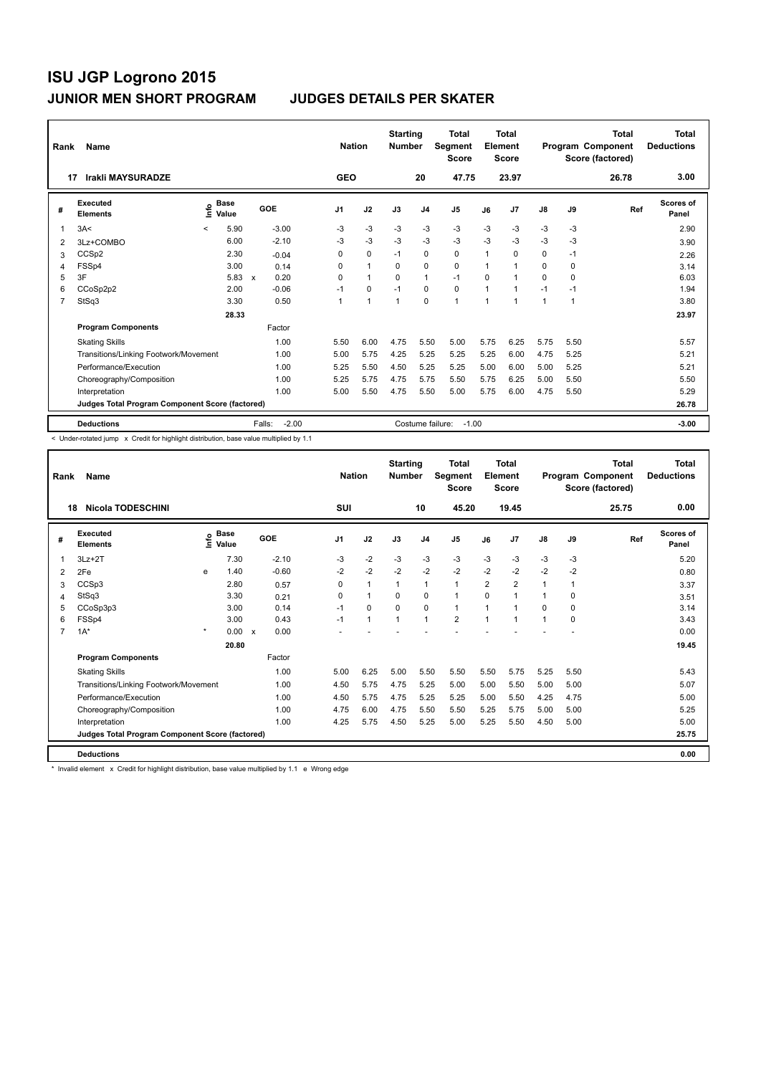| Rank           | Name                                            |         |                      |                                   |                | <b>Nation</b>  | <b>Starting</b><br><b>Number</b> |                  | <b>Total</b><br>Segment<br><b>Score</b> |      | Total<br>Element<br><b>Score</b> |              |          | Total<br>Program Component<br>Score (factored) | <b>Total</b><br><b>Deductions</b> |
|----------------|-------------------------------------------------|---------|----------------------|-----------------------------------|----------------|----------------|----------------------------------|------------------|-----------------------------------------|------|----------------------------------|--------------|----------|------------------------------------------------|-----------------------------------|
| 17             | Irakli MAYSURADZE                               |         |                      |                                   | <b>GEO</b>     |                |                                  | 20               | 47.75                                   |      | 23.97                            |              |          | 26.78                                          | 3.00                              |
| #              | Executed<br><b>Elements</b>                     | lnfo    | <b>Base</b><br>Value | GOE                               | J <sub>1</sub> | J2             | J3                               | J <sub>4</sub>   | J <sub>5</sub>                          | J6   | J <sub>7</sub>                   | J8           | J9       | Ref                                            | <b>Scores of</b><br>Panel         |
| 1              | 3A<                                             | $\prec$ | 5.90                 | $-3.00$                           | -3             | $-3$           | $-3$                             | $-3$             | $-3$                                    | $-3$ | $-3$                             | $-3$         | $-3$     |                                                | 2.90                              |
| 2              | 3Lz+COMBO                                       |         | 6.00                 | $-2.10$                           | $-3$           | $-3$           | $-3$                             | $-3$             | $-3$                                    | $-3$ | $-3$                             | $-3$         | $-3$     |                                                | 3.90                              |
| 3              | CCSp2                                           |         | 2.30                 | $-0.04$                           | 0              | $\mathbf 0$    | $-1$                             | $\mathbf 0$      | $\mathbf 0$                             | 1    | $\Omega$                         | 0            | $-1$     |                                                | 2.26                              |
| $\overline{4}$ | FSSp4                                           |         | 3.00                 | 0.14                              | 0              | $\overline{1}$ | $\Omega$                         | $\Omega$         | $\mathbf 0$                             | 1    | 1                                | 0            | $\Omega$ |                                                | 3.14                              |
| 5              | 3F                                              |         | 5.83                 | 0.20<br>$\boldsymbol{\mathsf{x}}$ | 0              | $\mathbf{1}$   | $\Omega$                         | $\mathbf{1}$     | $-1$                                    | 0    | 1                                | $\Omega$     | 0        |                                                | 6.03                              |
| 6              | CCoSp2p2                                        |         | 2.00                 | $-0.06$                           | $-1$           | $\mathbf 0$    | $-1$                             | $\mathbf 0$      | $\mathbf 0$                             | 1    | 1                                | $-1$         | $-1$     |                                                | 1.94                              |
| $\overline{7}$ | StSq3                                           |         | 3.30                 | 0.50                              |                | $\mathbf{1}$   | $\mathbf{1}$                     | $\mathbf 0$      | $\mathbf{1}$                            | 1    | 1                                | $\mathbf{1}$ | 1        |                                                | 3.80                              |
|                |                                                 |         | 28.33                |                                   |                |                |                                  |                  |                                         |      |                                  |              |          |                                                | 23.97                             |
|                | <b>Program Components</b>                       |         |                      | Factor                            |                |                |                                  |                  |                                         |      |                                  |              |          |                                                |                                   |
|                | <b>Skating Skills</b>                           |         |                      | 1.00                              | 5.50           | 6.00           | 4.75                             | 5.50             | 5.00                                    | 5.75 | 6.25                             | 5.75         | 5.50     |                                                | 5.57                              |
|                | Transitions/Linking Footwork/Movement           |         |                      | 1.00                              | 5.00           | 5.75           | 4.25                             | 5.25             | 5.25                                    | 5.25 | 6.00                             | 4.75         | 5.25     |                                                | 5.21                              |
|                | Performance/Execution                           |         |                      | 1.00                              | 5.25           | 5.50           | 4.50                             | 5.25             | 5.25                                    | 5.00 | 6.00                             | 5.00         | 5.25     |                                                | 5.21                              |
|                | Choreography/Composition                        |         |                      | 1.00                              | 5.25           | 5.75           | 4.75                             | 5.75             | 5.50                                    | 5.75 | 6.25                             | 5.00         | 5.50     |                                                | 5.50                              |
|                | Interpretation                                  |         |                      | 1.00                              | 5.00           | 5.50           | 4.75                             | 5.50             | 5.00                                    | 5.75 | 6.00                             | 4.75         | 5.50     |                                                | 5.29                              |
|                | Judges Total Program Component Score (factored) |         |                      |                                   |                |                |                                  |                  |                                         |      |                                  |              |          |                                                | 26.78                             |
|                | <b>Deductions</b>                               |         |                      | $-2.00$<br>Falls:                 |                |                |                                  | Costume failure: | $-1.00$                                 |      |                                  |              |          |                                                | $-3.00$                           |

< Under-rotated jump x Credit for highlight distribution, base value multiplied by 1.1

| Rank           | Name                                            |         |                                           |                           |         |          | <b>Nation</b> |              | <b>Starting</b><br><b>Number</b> |                | <b>Total</b><br>Segment<br><b>Score</b> |                | <b>Total</b><br>Element<br><b>Score</b> |              |          | <b>Total</b><br>Program Component<br>Score (factored) | <b>Total</b><br><b>Deductions</b> |
|----------------|-------------------------------------------------|---------|-------------------------------------------|---------------------------|---------|----------|---------------|--------------|----------------------------------|----------------|-----------------------------------------|----------------|-----------------------------------------|--------------|----------|-------------------------------------------------------|-----------------------------------|
| 18             | <b>Nicola TODESCHINI</b>                        |         |                                           |                           |         |          | SUI           |              |                                  | 10             | 45.20                                   |                | 19.45                                   |              |          | 25.75                                                 | 0.00                              |
| #              | Executed<br><b>Elements</b>                     |         | $\frac{e}{E}$ Base<br>$\frac{e}{E}$ Value |                           | GOE     | J1       |               | J2           | J3                               | J <sub>4</sub> | J5                                      | J6             | J <sub>7</sub>                          | J8           | J9       | Ref                                                   | Scores of<br>Panel                |
| 1              | $3Lz + 2T$                                      |         | 7.30                                      |                           | $-2.10$ | $-3$     |               | $-2$         | $-3$                             | $-3$           | $-3$                                    | $-3$           | $-3$                                    | $-3$         | -3       |                                                       | 5.20                              |
| 2              | 2Fe                                             | e       | 1.40                                      |                           | $-0.60$ | $-2$     |               | $-2$         | $-2$                             | $-2$           | $-2$                                    | $-2$           | $-2$                                    | $-2$         | $-2$     |                                                       | 0.80                              |
| 3              | CCSp3                                           |         | 2.80                                      |                           | 0.57    | 0        |               | $\mathbf{1}$ | $\mathbf{1}$                     | 1              | $\mathbf{1}$                            | $\overline{2}$ | $\overline{2}$                          | $\mathbf{1}$ | 1        |                                                       | 3.37                              |
| 4              | StSq3                                           |         | 3.30                                      |                           | 0.21    | $\Omega$ |               | $\mathbf{1}$ | $\Omega$                         | 0              | 1                                       | $\Omega$       | 1                                       | $\mathbf{1}$ | $\Omega$ |                                                       | 3.51                              |
| 5              | CCoSp3p3                                        |         | 3.00                                      |                           | 0.14    | $-1$     |               | $\Omega$     | $\Omega$                         | $\mathbf 0$    | 1                                       | 1              | 1                                       | 0            | 0        |                                                       | 3.14                              |
| 6              | FSSp4                                           |         | 3.00                                      |                           | 0.43    | $-1$     |               | $\mathbf{1}$ | $\overline{1}$                   | 1              | $\overline{2}$                          | $\mathbf 1$    | 1                                       | 1            | 0        |                                                       | 3.43                              |
| $\overline{7}$ | $1A^*$                                          | $\star$ | 0.00                                      | $\boldsymbol{\mathsf{x}}$ | 0.00    |          |               |              |                                  |                |                                         |                |                                         |              |          |                                                       | 0.00                              |
|                |                                                 |         | 20.80                                     |                           |         |          |               |              |                                  |                |                                         |                |                                         |              |          |                                                       | 19.45                             |
|                | <b>Program Components</b>                       |         |                                           |                           | Factor  |          |               |              |                                  |                |                                         |                |                                         |              |          |                                                       |                                   |
|                | <b>Skating Skills</b>                           |         |                                           |                           | 1.00    | 5.00     |               | 6.25         | 5.00                             | 5.50           | 5.50                                    | 5.50           | 5.75                                    | 5.25         | 5.50     |                                                       | 5.43                              |
|                | Transitions/Linking Footwork/Movement           |         |                                           |                           | 1.00    | 4.50     |               | 5.75         | 4.75                             | 5.25           | 5.00                                    | 5.00           | 5.50                                    | 5.00         | 5.00     |                                                       | 5.07                              |
|                | Performance/Execution                           |         |                                           |                           | 1.00    | 4.50     |               | 5.75         | 4.75                             | 5.25           | 5.25                                    | 5.00           | 5.50                                    | 4.25         | 4.75     |                                                       | 5.00                              |
|                | Choreography/Composition                        |         |                                           |                           | 1.00    | 4.75     |               | 6.00         | 4.75                             | 5.50           | 5.50                                    | 5.25           | 5.75                                    | 5.00         | 5.00     |                                                       | 5.25                              |
|                | Interpretation                                  |         |                                           |                           | 1.00    | 4.25     |               | 5.75         | 4.50                             | 5.25           | 5.00                                    | 5.25           | 5.50                                    | 4.50         | 5.00     |                                                       | 5.00                              |
|                | Judges Total Program Component Score (factored) |         |                                           |                           |         |          |               |              |                                  |                |                                         |                |                                         |              |          |                                                       | 25.75                             |
|                | <b>Deductions</b>                               |         |                                           |                           |         |          |               |              |                                  |                |                                         |                |                                         |              |          |                                                       | 0.00                              |

\* Invalid element x Credit for highlight distribution, base value multiplied by 1.1 e Wrong edge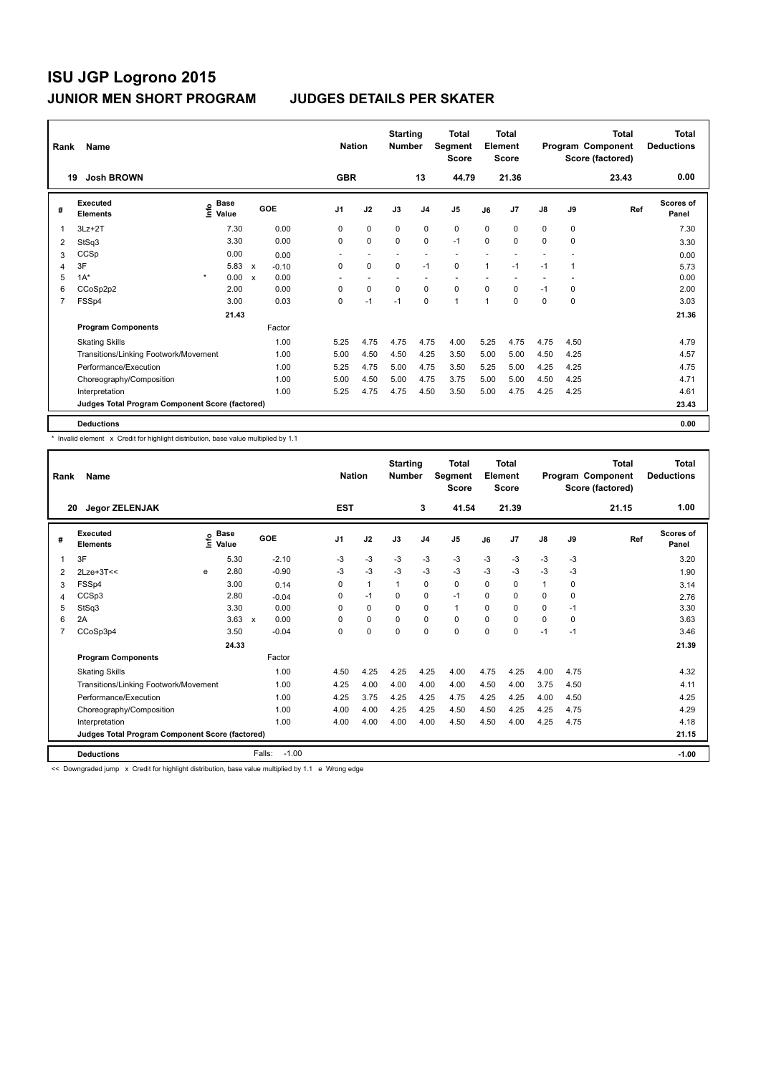| Rank           | Name                                            |                                    |                           |         |                | <b>Nation</b>            | <b>Starting</b><br><b>Number</b> |                | Total<br>Segment<br><b>Score</b> |              | <b>Total</b><br>Element<br><b>Score</b> |               |      | <b>Total</b><br>Program Component<br>Score (factored) | <b>Total</b><br><b>Deductions</b> |
|----------------|-------------------------------------------------|------------------------------------|---------------------------|---------|----------------|--------------------------|----------------------------------|----------------|----------------------------------|--------------|-----------------------------------------|---------------|------|-------------------------------------------------------|-----------------------------------|
|                | <b>Josh BROWN</b><br>19                         |                                    |                           |         | <b>GBR</b>     |                          |                                  | 13             | 44.79                            |              | 21.36                                   |               |      | 23.43                                                 | 0.00                              |
| #              | Executed<br><b>Elements</b>                     | <b>Base</b><br>$\frac{6}{5}$ Value |                           | GOE     | J <sub>1</sub> | J2                       | J3                               | J <sub>4</sub> | J <sub>5</sub>                   | J6           | J7                                      | $\mathsf{J}8$ | J9   | Ref                                                   | Scores of<br>Panel                |
| 1              | $3Lz + 2T$                                      | 7.30                               |                           | 0.00    | 0              | $\mathbf 0$              | 0                                | 0              | $\mathbf 0$                      | $\Omega$     | 0                                       | 0             | 0    |                                                       | 7.30                              |
| 2              | StSq3                                           | 3.30                               |                           | 0.00    | 0              | $\mathbf 0$              | $\Omega$                         | $\mathbf 0$    | $-1$                             | $\Omega$     | 0                                       | 0             | 0    |                                                       | 3.30                              |
| 3              | CCSp                                            | 0.00                               |                           | 0.00    | ٠              | $\overline{\phantom{a}}$ |                                  |                | $\overline{\phantom{a}}$         |              |                                         |               |      |                                                       | 0.00                              |
| 4              | 3F                                              | 5.83                               | $\boldsymbol{\mathsf{x}}$ | $-0.10$ | $\mathbf 0$    | $\mathbf 0$              | $\mathbf 0$                      | $-1$           | $\mathbf 0$                      | $\mathbf{1}$ | $-1$                                    | $-1$          | 1    |                                                       | 5.73                              |
| 5              | $1A^*$                                          | $\star$<br>0.00                    | X                         | 0.00    |                |                          |                                  |                |                                  |              |                                         |               |      |                                                       | 0.00                              |
| 6              | CCoSp2p2                                        | 2.00                               |                           | 0.00    | $\Omega$       | $\mathbf 0$              | 0                                | $\mathbf 0$    | $\mathbf 0$                      | $\Omega$     | 0                                       | $-1$          | 0    |                                                       | 2.00                              |
| $\overline{7}$ | FSSp4                                           | 3.00                               |                           | 0.03    | 0              | $-1$                     | $-1$                             | $\mathbf 0$    | $\mathbf{1}$                     | 1            | 0                                       | 0             | 0    |                                                       | 3.03                              |
|                |                                                 | 21.43                              |                           |         |                |                          |                                  |                |                                  |              |                                         |               |      |                                                       | 21.36                             |
|                | <b>Program Components</b>                       |                                    |                           | Factor  |                |                          |                                  |                |                                  |              |                                         |               |      |                                                       |                                   |
|                | <b>Skating Skills</b>                           |                                    |                           | 1.00    | 5.25           | 4.75                     | 4.75                             | 4.75           | 4.00                             | 5.25         | 4.75                                    | 4.75          | 4.50 |                                                       | 4.79                              |
|                | Transitions/Linking Footwork/Movement           |                                    |                           | 1.00    | 5.00           | 4.50                     | 4.50                             | 4.25           | 3.50                             | 5.00         | 5.00                                    | 4.50          | 4.25 |                                                       | 4.57                              |
|                | Performance/Execution                           |                                    |                           | 1.00    | 5.25           | 4.75                     | 5.00                             | 4.75           | 3.50                             | 5.25         | 5.00                                    | 4.25          | 4.25 |                                                       | 4.75                              |
|                | Choreography/Composition                        |                                    |                           | 1.00    | 5.00           | 4.50                     | 5.00                             | 4.75           | 3.75                             | 5.00         | 5.00                                    | 4.50          | 4.25 |                                                       | 4.71                              |
|                | Interpretation                                  |                                    |                           | 1.00    | 5.25           | 4.75                     | 4.75                             | 4.50           | 3.50                             | 5.00         | 4.75                                    | 4.25          | 4.25 |                                                       | 4.61                              |
|                | Judges Total Program Component Score (factored) |                                    |                           |         |                |                          |                                  |                |                                  |              |                                         |               |      |                                                       | 23.43                             |
|                | <b>Deductions</b>                               |                                    |                           |         |                |                          |                                  |                |                                  |              |                                         |               |      |                                                       | 0.00                              |

\* Invalid element x Credit for highlight distribution, base value multiplied by 1.1

| Rank | Name                                            |   |                                           |              |         | <b>Nation</b> |              | <b>Starting</b><br><b>Number</b> |                | <b>Total</b><br>Segment<br><b>Score</b> |          | <b>Total</b><br>Element<br><b>Score</b> |               |          | <b>Total</b><br>Program Component<br>Score (factored) | <b>Total</b><br><b>Deductions</b> |
|------|-------------------------------------------------|---|-------------------------------------------|--------------|---------|---------------|--------------|----------------------------------|----------------|-----------------------------------------|----------|-----------------------------------------|---------------|----------|-------------------------------------------------------|-----------------------------------|
| 20   | <b>Jegor ZELENJAK</b>                           |   |                                           |              |         | <b>EST</b>    |              |                                  | 3              | 41.54                                   |          | 21.39                                   |               |          | 21.15                                                 | 1.00                              |
| #    | Executed<br><b>Elements</b>                     |   | $\frac{e}{E}$ Base<br>$\frac{e}{E}$ Value |              | GOE     | J1            | J2           | J3                               | J <sub>4</sub> | J5                                      | J6       | J7                                      | $\mathsf{J}8$ | J9       | Ref                                                   | Scores of<br>Panel                |
| 1    | 3F                                              |   | 5.30                                      |              | $-2.10$ | $-3$          | $-3$         | $-3$                             | $-3$           | $-3$                                    | $-3$     | $-3$                                    | $-3$          | -3       |                                                       | 3.20                              |
| 2    | $2$ Lze+ $3$ T<<                                | e | 2.80                                      |              | $-0.90$ | $-3$          | $-3$         | $-3$                             | $-3$           | $-3$                                    | $-3$     | $-3$                                    | $-3$          | $-3$     |                                                       | 1.90                              |
| 3    | FSSp4                                           |   | 3.00                                      |              | 0.14    | 0             | $\mathbf{1}$ | $\mathbf 1$                      | 0              | 0                                       | $\Omega$ | 0                                       | $\mathbf{1}$  | 0        |                                                       | 3.14                              |
| 4    | CCSp3                                           |   | 2.80                                      |              | $-0.04$ | 0             | $-1$         | $\Omega$                         | 0              | $-1$                                    | $\Omega$ | 0                                       | 0             | 0        |                                                       | 2.76                              |
| 5    | StSq3                                           |   | 3.30                                      |              | 0.00    | $\Omega$      | $\Omega$     | $\Omega$                         | $\Omega$       | $\mathbf{1}$                            | $\Omega$ | $\Omega$                                | 0             | $-1$     |                                                       | 3.30                              |
| 6    | 2A                                              |   | 3.63                                      | $\mathsf{x}$ | 0.00    | 0             | $\Omega$     | 0                                | 0              | 0                                       | $\Omega$ | $\Omega$                                | 0             | $\Omega$ |                                                       | 3.63                              |
| 7    | CCoSp3p4                                        |   | 3.50                                      |              | $-0.04$ | 0             | $\mathbf 0$  | $\mathbf 0$                      | $\mathbf 0$    | 0                                       | 0        | $\mathbf 0$                             | $-1$          | $-1$     |                                                       | 3.46                              |
|      |                                                 |   | 24.33                                     |              |         |               |              |                                  |                |                                         |          |                                         |               |          |                                                       | 21.39                             |
|      | <b>Program Components</b>                       |   |                                           |              | Factor  |               |              |                                  |                |                                         |          |                                         |               |          |                                                       |                                   |
|      | <b>Skating Skills</b>                           |   |                                           |              | 1.00    | 4.50          | 4.25         | 4.25                             | 4.25           | 4.00                                    | 4.75     | 4.25                                    | 4.00          | 4.75     |                                                       | 4.32                              |
|      | Transitions/Linking Footwork/Movement           |   |                                           |              | 1.00    | 4.25          | 4.00         | 4.00                             | 4.00           | 4.00                                    | 4.50     | 4.00                                    | 3.75          | 4.50     |                                                       | 4.11                              |
|      | Performance/Execution                           |   |                                           |              | 1.00    | 4.25          | 3.75         | 4.25                             | 4.25           | 4.75                                    | 4.25     | 4.25                                    | 4.00          | 4.50     |                                                       | 4.25                              |
|      | Choreography/Composition                        |   |                                           |              | 1.00    | 4.00          | 4.00         | 4.25                             | 4.25           | 4.50                                    | 4.50     | 4.25                                    | 4.25          | 4.75     |                                                       | 4.29                              |
|      | Interpretation                                  |   |                                           |              | 1.00    | 4.00          | 4.00         | 4.00                             | 4.00           | 4.50                                    | 4.50     | 4.00                                    | 4.25          | 4.75     |                                                       | 4.18                              |
|      | Judges Total Program Component Score (factored) |   |                                           |              |         |               |              |                                  |                |                                         |          |                                         |               |          |                                                       | 21.15                             |
|      | <b>Deductions</b>                               |   |                                           | Falls:       | $-1.00$ |               |              |                                  |                |                                         |          |                                         |               |          |                                                       | $-1.00$                           |

<< Downgraded jump x Credit for highlight distribution, base value multiplied by 1.1 e Wrong edge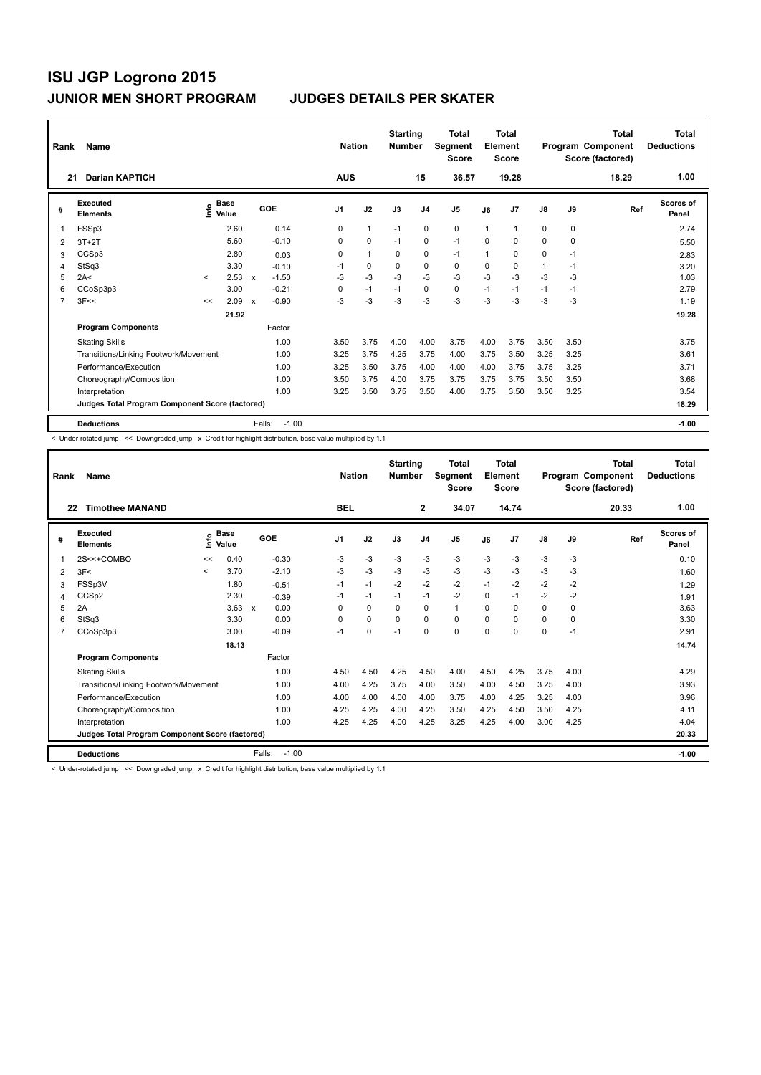| Rank           | Name                                            |         |                                    |                           |                   | <b>Nation</b>  |              | <b>Starting</b><br><b>Number</b> |             | Total<br>Segment<br><b>Score</b> |      | Total<br>Element<br><b>Score</b> |               |      | <b>Total</b><br>Program Component<br>Score (factored) | <b>Total</b><br><b>Deductions</b> |
|----------------|-------------------------------------------------|---------|------------------------------------|---------------------------|-------------------|----------------|--------------|----------------------------------|-------------|----------------------------------|------|----------------------------------|---------------|------|-------------------------------------------------------|-----------------------------------|
| 21             | <b>Darian KAPTICH</b>                           |         |                                    |                           |                   | <b>AUS</b>     |              |                                  | 15          | 36.57                            |      | 19.28                            |               |      | 18.29                                                 | 1.00                              |
| #              | Executed<br><b>Elements</b>                     |         | <b>Base</b><br>$\frac{6}{5}$ Value |                           | GOE               | J <sub>1</sub> | J2           | J3                               | J4          | J5                               | J6   | J7                               | $\mathsf{J}8$ | J9   | Ref                                                   | <b>Scores of</b><br>Panel         |
| $\mathbf{1}$   | FSSp3                                           |         | 2.60                               |                           | 0.14              | $\Omega$       | $\mathbf{1}$ | $-1$                             | $\mathbf 0$ | $\mathbf 0$                      | 1    | 1                                | 0             | 0    |                                                       | 2.74                              |
| 2              | $3T+2T$                                         |         | 5.60                               |                           | $-0.10$           | 0              | $\mathbf 0$  | $-1$                             | $\mathbf 0$ | $-1$                             | 0    | 0                                | 0             | 0    |                                                       | 5.50                              |
| 3              | CCSp3                                           |         | 2.80                               |                           | 0.03              | 0              | $\mathbf{1}$ | 0                                | 0           | $-1$                             | 1    | 0                                | 0             | -1   |                                                       | 2.83                              |
| 4              | StSq3                                           |         | 3.30                               |                           | $-0.10$           | -1             | 0            | 0                                | $\mathbf 0$ | $\mathbf 0$                      | 0    | 0                                | $\mathbf{1}$  | $-1$ |                                                       | 3.20                              |
| 5              | 2A<                                             | $\prec$ | 2.53                               | $\mathbf{x}$              | $-1.50$           | -3             | $-3$         | $-3$                             | $-3$        | $-3$                             | $-3$ | $-3$                             | $-3$          | $-3$ |                                                       | 1.03                              |
| 6              | CCoSp3p3                                        |         | 3.00                               |                           | $-0.21$           | 0              | $-1$         | $-1$                             | $\mathbf 0$ | $\mathbf 0$                      | $-1$ | $-1$                             | $-1$          | $-1$ |                                                       | 2.79                              |
| $\overline{7}$ | 3F<<                                            | <<      | 2.09                               | $\boldsymbol{\mathsf{x}}$ | $-0.90$           | -3             | $-3$         | $-3$                             | $-3$        | $-3$                             | $-3$ | $-3$                             | $-3$          | $-3$ |                                                       | 1.19                              |
|                |                                                 |         | 21.92                              |                           |                   |                |              |                                  |             |                                  |      |                                  |               |      |                                                       | 19.28                             |
|                | <b>Program Components</b>                       |         |                                    |                           | Factor            |                |              |                                  |             |                                  |      |                                  |               |      |                                                       |                                   |
|                | <b>Skating Skills</b>                           |         |                                    |                           | 1.00              | 3.50           | 3.75         | 4.00                             | 4.00        | 3.75                             | 4.00 | 3.75                             | 3.50          | 3.50 |                                                       | 3.75                              |
|                | Transitions/Linking Footwork/Movement           |         |                                    |                           | 1.00              | 3.25           | 3.75         | 4.25                             | 3.75        | 4.00                             | 3.75 | 3.50                             | 3.25          | 3.25 |                                                       | 3.61                              |
|                | Performance/Execution                           |         |                                    |                           | 1.00              | 3.25           | 3.50         | 3.75                             | 4.00        | 4.00                             | 4.00 | 3.75                             | 3.75          | 3.25 |                                                       | 3.71                              |
|                | Choreography/Composition                        |         |                                    |                           | 1.00              | 3.50           | 3.75         | 4.00                             | 3.75        | 3.75                             | 3.75 | 3.75                             | 3.50          | 3.50 |                                                       | 3.68                              |
|                | Interpretation                                  |         |                                    |                           | 1.00              | 3.25           | 3.50         | 3.75                             | 3.50        | 4.00                             | 3.75 | 3.50                             | 3.50          | 3.25 |                                                       | 3.54                              |
|                | Judges Total Program Component Score (factored) |         |                                    |                           |                   |                |              |                                  |             |                                  |      |                                  |               |      |                                                       | 18.29                             |
|                | <b>Deductions</b>                               |         |                                    |                           | Falls:<br>$-1.00$ |                |              |                                  |             |                                  |      |                                  |               |      |                                                       | $-1.00$                           |

< Under-rotated jump << Downgraded jump x Credit for highlight distribution, base value multiplied by 1.1

| Rank           | Name                                            |         |                      |                                   | <b>Nation</b>  |          | <b>Starting</b><br><b>Number</b> |                | Total<br>Segment<br><b>Score</b> |          | <b>Total</b><br>Element<br><b>Score</b> |               |          | Total<br>Program Component<br>Score (factored) | <b>Total</b><br><b>Deductions</b> |
|----------------|-------------------------------------------------|---------|----------------------|-----------------------------------|----------------|----------|----------------------------------|----------------|----------------------------------|----------|-----------------------------------------|---------------|----------|------------------------------------------------|-----------------------------------|
| 22             | <b>Timothee MANAND</b>                          |         |                      |                                   | <b>BEL</b>     |          |                                  | $\overline{2}$ | 34.07                            |          | 14.74                                   |               |          | 20.33                                          | 1.00                              |
| #              | Executed<br><b>Elements</b>                     | ١nfo    | <b>Base</b><br>Value | GOE                               | J <sub>1</sub> | J2       | J3                               | J <sub>4</sub> | J <sub>5</sub>                   | J6       | J <sub>7</sub>                          | $\mathsf{J}8$ | J9       | Ref                                            | <b>Scores of</b><br>Panel         |
|                | 2S<<+COMBO                                      | <<      | 0.40                 | $-0.30$                           | $-3$           | $-3$     | $-3$                             | $-3$           | $-3$                             | $-3$     | $-3$                                    | $-3$          | -3       |                                                | 0.10                              |
| 2              | 3F<                                             | $\prec$ | 3.70                 | $-2.10$                           | $-3$           | $-3$     | $-3$                             | $-3$           | $-3$                             | $-3$     | $-3$                                    | $-3$          | $-3$     |                                                | 1.60                              |
| 3              | FSSp3V                                          |         | 1.80                 | $-0.51$                           | $-1$           | $-1$     | $-2$                             | $-2$           | $-2$                             | $-1$     | $-2$                                    | $-2$          | $-2$     |                                                | 1.29                              |
| 4              | CCS <sub>p2</sub>                               |         | 2.30                 | $-0.39$                           | $-1$           | $-1$     | $-1$                             | $-1$           | $-2$                             | $\Omega$ | $-1$                                    | $-2$          | $-2$     |                                                | 1.91                              |
| 5              | 2A                                              |         | 3.63                 | 0.00<br>$\boldsymbol{\mathsf{x}}$ | $\Omega$       | $\Omega$ | $\Omega$                         | $\Omega$       | $\mathbf{1}$                     | $\Omega$ | $\Omega$                                | 0             | $\Omega$ |                                                | 3.63                              |
| 6              | StSq3                                           |         | 3.30                 | 0.00                              | 0              | 0        | $\Omega$                         | $\Omega$       | 0                                | 0        | 0                                       | 0             | 0        |                                                | 3.30                              |
| $\overline{7}$ | CCoSp3p3                                        |         | 3.00                 | $-0.09$                           | $-1$           | 0        | $-1$                             | $\Omega$       | $\Omega$                         | 0        | 0                                       | 0             | $-1$     |                                                | 2.91                              |
|                |                                                 |         | 18.13                |                                   |                |          |                                  |                |                                  |          |                                         |               |          |                                                | 14.74                             |
|                | <b>Program Components</b>                       |         |                      | Factor                            |                |          |                                  |                |                                  |          |                                         |               |          |                                                |                                   |
|                | <b>Skating Skills</b>                           |         |                      | 1.00                              | 4.50           | 4.50     | 4.25                             | 4.50           | 4.00                             | 4.50     | 4.25                                    | 3.75          | 4.00     |                                                | 4.29                              |
|                | Transitions/Linking Footwork/Movement           |         |                      | 1.00                              | 4.00           | 4.25     | 3.75                             | 4.00           | 3.50                             | 4.00     | 4.50                                    | 3.25          | 4.00     |                                                | 3.93                              |
|                | Performance/Execution                           |         |                      | 1.00                              | 4.00           | 4.00     | 4.00                             | 4.00           | 3.75                             | 4.00     | 4.25                                    | 3.25          | 4.00     |                                                | 3.96                              |
|                | Choreography/Composition                        |         |                      | 1.00                              | 4.25           | 4.25     | 4.00                             | 4.25           | 3.50                             | 4.25     | 4.50                                    | 3.50          | 4.25     |                                                | 4.11                              |
|                | Interpretation                                  |         |                      | 1.00                              | 4.25           | 4.25     | 4.00                             | 4.25           | 3.25                             | 4.25     | 4.00                                    | 3.00          | 4.25     |                                                | 4.04                              |
|                | Judges Total Program Component Score (factored) |         |                      |                                   |                |          |                                  |                |                                  |          |                                         |               |          |                                                | 20.33                             |
|                | <b>Deductions</b>                               |         |                      | $-1.00$<br>Falls:                 |                |          |                                  |                |                                  |          |                                         |               |          |                                                | $-1.00$                           |

< Under-rotated jump << Downgraded jump x Credit for highlight distribution, base value multiplied by 1.1